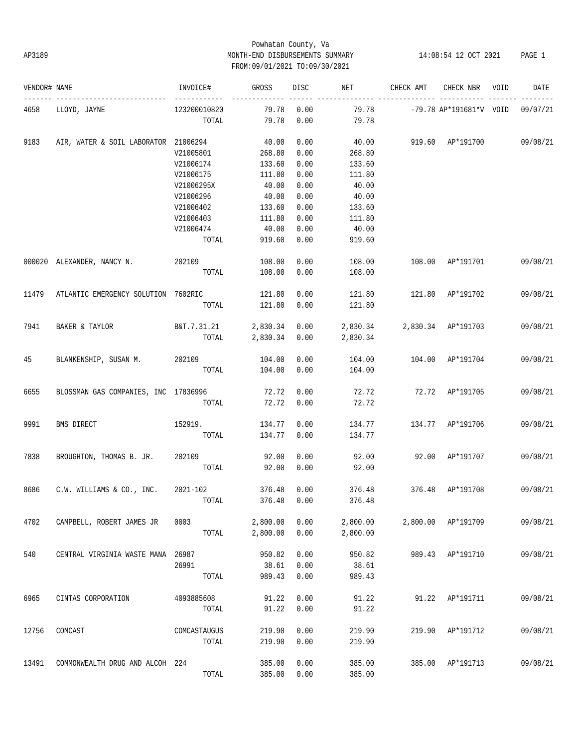### Powhatan County, Va AP3189 MONTH-END DISBURSEMENTS SUMMARY 14:08:54 12 OCT 2021 PAGE 1 FROM:09/01/2021 TO:09/30/2021

| VENDOR# NAME |                                      | INVOICE#     | GROSS         | DISC | NET           | CHECK AMT                   | CHECK NBR                 | VOID | DATE     |
|--------------|--------------------------------------|--------------|---------------|------|---------------|-----------------------------|---------------------------|------|----------|
| 4658         | LLOYD, JAYNE                         | 123200010820 | 79.78         | 0.00 | 79.78         |                             | -79.78 AP*191681*V VOID   |      | 09/07/21 |
|              |                                      | TOTAL        | 79.78         | 0.00 | 79.78         |                             |                           |      |          |
| 9183         | AIR, WATER & SOIL LABORATOR 21006294 |              | 40.00         | 0.00 | 40.00         |                             | 919.60 AP*191700 09/08/21 |      |          |
|              |                                      | V21005801    | 268.80        | 0.00 | 268.80        |                             |                           |      |          |
|              |                                      | V21006174    | 133.60        | 0.00 | 133.60        |                             |                           |      |          |
|              |                                      | V21006175    | 111.80        | 0.00 | 111.80        |                             |                           |      |          |
|              |                                      | V21006295X   | 40.00         | 0.00 | 40.00         |                             |                           |      |          |
|              |                                      | V21006296    | 40.00         | 0.00 | 40.00         |                             |                           |      |          |
|              |                                      |              |               |      |               |                             |                           |      |          |
|              |                                      | V21006402    | 133.60        | 0.00 | 133.60        |                             |                           |      |          |
|              |                                      | V21006403    | 111.80        | 0.00 | 111.80        |                             |                           |      |          |
|              |                                      | V21006474    | 40.00         | 0.00 | 40.00         |                             |                           |      |          |
|              |                                      | TOTAL        | 919.60        | 0.00 | 919.60        |                             |                           |      |          |
|              | 000020 ALEXANDER, NANCY N. 202109    |              | 108.00        | 0.00 | 108.00        |                             | 108.00 AP*191701          |      | 09/08/21 |
|              |                                      | TOTAL        | 108.00        | 0.00 | 108.00        |                             |                           |      |          |
| 11479        | ATLANTIC EMERGENCY SOLUTION 7602RIC  |              | 121.80        | 0.00 | 121.80        |                             | 121.80 AP*191702          |      | 09/08/21 |
|              |                                      | TOTAL        | 121.80        | 0.00 | 121.80        |                             |                           |      |          |
| 7941         | BAKER & TAYLOR                       | B&T.7.31.21  | 2,830.34 0.00 |      |               | 2,830.34 2,830.34 AP*191703 |                           |      | 09/08/21 |
|              |                                      | TOTAL        | 2,830.34      | 0.00 | 2,830.34      |                             |                           |      |          |
|              |                                      |              |               |      |               |                             |                           |      |          |
| 45           | BLANKENSHIP, SUSAN M. 202109         |              | 104.00        | 0.00 | 104.00        | 104.00 AP*191704            |                           |      | 09/08/21 |
|              |                                      | TOTAL        | 104.00        | 0.00 | 104.00        |                             |                           |      |          |
| 6655         | BLOSSMAN GAS COMPANIES, INC 17836996 |              | 72.72         | 0.00 | 72.72         |                             | 72.72 AP*191705           |      | 09/08/21 |
|              |                                      | TOTAL        | 72.72         | 0.00 | 72.72         |                             |                           |      |          |
| 9991         | BMS DIRECT                           | 152919.      | 134.77 0.00   |      | 134.77        | 134.77 AP*191706            |                           |      | 09/08/21 |
|              |                                      | TOTAL        | 134.77        | 0.00 | 134.77        |                             |                           |      |          |
| 7838         | BROUGHTON, THOMAS B. JR.             | 202109       | 92.00         | 0.00 | 92.00         |                             | 92.00 AP*191707           |      | 09/08/21 |
|              |                                      | TOTAL        | 92.00         | 0.00 | 92.00         |                             |                           |      |          |
|              |                                      |              |               |      |               |                             |                           |      |          |
| 8686         | C.W. WILLIAMS & CO., INC.            | 2021-102     | 376.48        | 0.00 | 376.48        | 376.48                      | AP*191708                 |      | 09/08/21 |
|              |                                      | TOTAL        | 376.48        |      | $0.00$ 376.48 |                             |                           |      |          |
| 4702         | CAMPBELL, ROBERT JAMES JR            | 0003         | 2,800.00      | 0.00 | 2,800.00      |                             | 2,800.00 AP*191709        |      | 09/08/21 |
|              |                                      | TOTAL        | 2,800.00      | 0.00 | 2,800.00      |                             |                           |      |          |
| 540          | CENTRAL VIRGINIA WASTE MANA 26987    |              | 950.82        | 0.00 | 950.82        |                             | 989.43 AP*191710          |      | 09/08/21 |
|              |                                      |              |               |      |               |                             |                           |      |          |
|              |                                      | 26991        | 38.61         | 0.00 | 38.61         |                             |                           |      |          |
|              |                                      | TOTAL        | 989.43        | 0.00 | 989.43        |                             |                           |      |          |
| 6965         | CINTAS CORPORATION                   | 4093885608   | 91.22         | 0.00 | 91.22         | 91.22                       | AP*191711                 |      | 09/08/21 |
|              |                                      | TOTAL        | 91.22         | 0.00 | 91.22         |                             |                           |      |          |
| 12756        | COMCAST                              | COMCASTAUGUS | 219.90        | 0.00 | 219.90        | 219.90                      | AP*191712                 |      | 09/08/21 |
|              |                                      | TOTAL        | 219.90        | 0.00 | 219.90        |                             |                           |      |          |
| 13491        | COMMONWEALTH DRUG AND ALCOH 224      |              | 385.00        | 0.00 | 385.00        | 385.00                      |                           |      | 09/08/21 |
|              |                                      |              |               |      |               |                             | AP*191713                 |      |          |
|              |                                      | TOTAL        | 385.00        | 0.00 | 385.00        |                             |                           |      |          |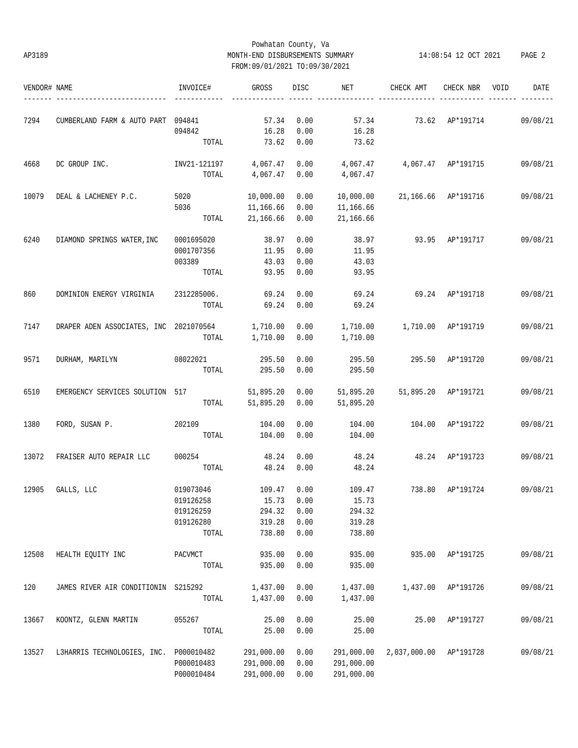### Powhatan County, Va AP3189 MONTH-END DISBURSEMENTS SUMMARY 14:08:54 12 OCT 2021 PAGE 2 FROM:09/01/2021 TO:09/30/2021

| VENDOR# NAME |                                        | INVOICE#     | <b>GROSS</b> | DISC | NET        | CHECK AMT    | CHECK NBR | VOID | DATE     |
|--------------|----------------------------------------|--------------|--------------|------|------------|--------------|-----------|------|----------|
|              |                                        |              |              |      |            |              |           |      |          |
| 7294         | CUMBERLAND FARM & AUTO PART 094841     |              | 57.34        | 0.00 | 57.34      | 73.62        | AP*191714 |      | 09/08/21 |
|              |                                        | 094842       | 16.28        | 0.00 | 16.28      |              |           |      |          |
|              |                                        | TOTAL        | 73.62        | 0.00 | 73.62      |              |           |      |          |
| 4668         | DC GROUP INC.                          | INV21-121197 | 4,067.47     | 0.00 | 4,067.47   | 4,067.47     | AP*191715 |      | 09/08/21 |
|              |                                        | TOTAL        | 4,067.47     | 0.00 | 4,067.47   |              |           |      |          |
| 10079        | DEAL & LACHENEY P.C.                   | 5020         | 10,000.00    | 0.00 | 10,000.00  | 21,166.66    | AP*191716 |      | 09/08/21 |
|              |                                        | 5036         | 11,166.66    | 0.00 | 11,166.66  |              |           |      |          |
|              |                                        | TOTAL        | 21,166.66    | 0.00 | 21,166.66  |              |           |      |          |
| 6240         | DIAMOND SPRINGS WATER, INC             | 0001695020   | 38.97        | 0.00 | 38.97      | 93.95        | AP*191717 |      | 09/08/21 |
|              |                                        | 0001707356   | 11.95        | 0.00 | 11.95      |              |           |      |          |
|              |                                        | 003389       | 43.03        | 0.00 | 43.03      |              |           |      |          |
|              |                                        | TOTAL        | 93.95        | 0.00 | 93.95      |              |           |      |          |
|              |                                        |              |              |      |            |              |           |      |          |
| 860          | DOMINION ENERGY VIRGINIA               | 2312285006.  | 69.24        | 0.00 | 69.24      | 69.24        | AP*191718 |      | 09/08/21 |
|              |                                        | TOTAL        | 69.24        | 0.00 | 69.24      |              |           |      |          |
| 7147         | DRAPER ADEN ASSOCIATES, INC 2021070564 |              | 1,710.00     | 0.00 | 1,710.00   | 1,710.00     | AP*191719 |      | 09/08/21 |
|              |                                        | TOTAL        | 1,710.00     | 0.00 | 1,710.00   |              |           |      |          |
| 9571         | DURHAM, MARILYN                        | 08022021     | 295.50       | 0.00 | 295.50     | 295.50       | AP*191720 |      | 09/08/21 |
|              |                                        |              |              |      |            |              |           |      |          |
|              |                                        | TOTAL        | 295.50       | 0.00 | 295.50     |              |           |      |          |
| 6510         | EMERGENCY SERVICES SOLUTION 517        |              | 51,895.20    | 0.00 | 51,895.20  | 51,895.20    | AP*191721 |      | 09/08/21 |
|              |                                        | TOTAL        | 51,895.20    | 0.00 | 51,895.20  |              |           |      |          |
| 1380         | FORD, SUSAN P.                         | 202109       | 104.00       | 0.00 | 104.00     | 104.00       | AP*191722 |      | 09/08/21 |
|              |                                        | TOTAL        | 104.00       | 0.00 | 104.00     |              |           |      |          |
| 13072        | FRAISER AUTO REPAIR LLC                | 000254       | 48.24        | 0.00 | 48.24      | 48.24        | AP*191723 |      | 09/08/21 |
|              |                                        | TOTAL        | 48.24        | 0.00 | 48.24      |              |           |      |          |
| 12905        | GALLS, LLC                             | 019073046    | 109.47       | 0.00 | 109.47     | 738.80       | AP*191724 |      | 09/08/21 |
|              |                                        | 019126258    | 15.73        | 0.00 | 15.73      |              |           |      |          |
|              |                                        |              |              |      |            |              |           |      |          |
|              |                                        | 019126259    | 294.32       | 0.00 | 294.32     |              |           |      |          |
|              |                                        | 019126280    | 319.28       | 0.00 | 319.28     |              |           |      |          |
|              |                                        | TOTAL        | 738.80       | 0.00 | 738.80     |              |           |      |          |
| 12508        | HEALTH EQUITY INC                      | PACVMCT      | 935.00       | 0.00 | 935.00     | 935.00       | AP*191725 |      | 09/08/21 |
|              |                                        | TOTAL        | 935.00       | 0.00 | 935.00     |              |           |      |          |
| 120          | JAMES RIVER AIR CONDITIONIN S215292    |              | 1,437.00     | 0.00 | 1,437.00   | 1,437.00     | AP*191726 |      | 09/08/21 |
|              |                                        | TOTAL        | 1,437.00     | 0.00 | 1,437.00   |              |           |      |          |
|              |                                        |              |              |      |            |              |           |      |          |
| 13667        | KOONTZ, GLENN MARTIN                   | 055267       | 25.00        | 0.00 | 25.00      | 25.00        | AP*191727 |      | 09/08/21 |
|              |                                        | TOTAL        | 25.00        | 0.00 | 25.00      |              |           |      |          |
| 13527        | L3HARRIS TECHNOLOGIES, INC. P000010482 |              | 291,000.00   | 0.00 | 291,000.00 | 2,037,000.00 | AP*191728 |      | 09/08/21 |
|              |                                        | P000010483   | 291,000.00   | 0.00 | 291,000.00 |              |           |      |          |
|              |                                        | P000010484   | 291,000.00   | 0.00 | 291,000.00 |              |           |      |          |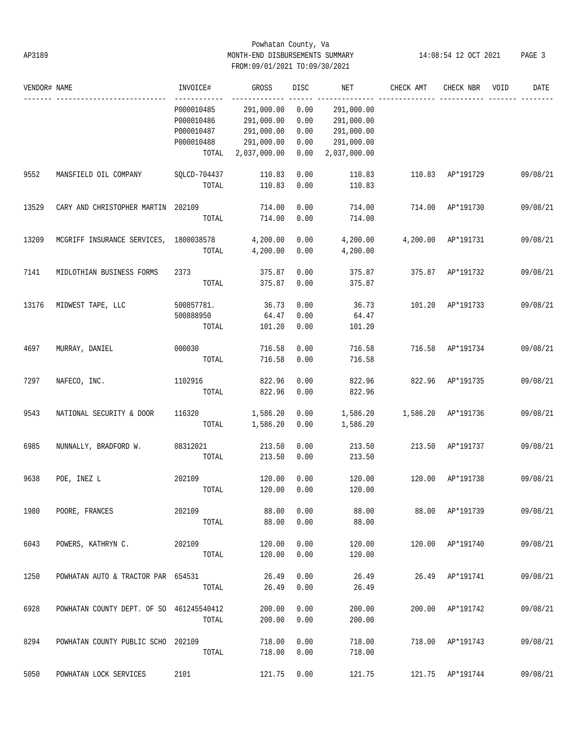### Powhatan County, Va AP3189 MONTH-END DISBURSEMENTS SUMMARY 14:08:54 12 OCT 2021 PAGE 3 FROM:09/01/2021 TO:09/30/2021

| VENDOR# NAME |                                          | INVOICE#     | GROSS        | DISC | NET          | CHECK AMT | CHECK NBR        | VOID | DATE     |
|--------------|------------------------------------------|--------------|--------------|------|--------------|-----------|------------------|------|----------|
|              |                                          | P000010485   | 291,000.00   | 0.00 | 291,000.00   |           |                  |      |          |
|              |                                          | P000010486   | 291,000.00   | 0.00 | 291,000.00   |           |                  |      |          |
|              |                                          | P000010487   | 291,000.00   | 0.00 | 291,000.00   |           |                  |      |          |
|              |                                          | P000010488   | 291,000.00   | 0.00 | 291,000.00   |           |                  |      |          |
|              |                                          | TOTAL        | 2,037,000.00 | 0.00 | 2,037,000.00 |           |                  |      |          |
| 9552         | MANSFIELD OIL COMPANY                    | SQLCD-704437 | 110.83       | 0.00 | 110.83       | 110.83    | AP*191729        |      | 09/08/21 |
|              |                                          | TOTAL        | 110.83       | 0.00 | 110.83       |           |                  |      |          |
| 13529        | CARY AND CHRISTOPHER MARTIN              | 202109       | 714.00       | 0.00 | 714.00       | 714.00    | AP*191730        |      | 09/08/21 |
|              |                                          | TOTAL        | 714.00       | 0.00 | 714.00       |           |                  |      |          |
| 13209        | MCGRIFF INSURANCE SERVICES, 1800038578   |              | 4,200.00     | 0.00 | 4,200.00     | 4,200.00  | AP*191731        |      | 09/08/21 |
|              |                                          | TOTAL        | 4,200.00     | 0.00 | 4,200.00     |           |                  |      |          |
| 7141         | MIDLOTHIAN BUSINESS FORMS                | 2373         | 375.87       | 0.00 | 375.87       | 375.87    | AP*191732        |      | 09/08/21 |
|              |                                          | TOTAL        | 375.87       | 0.00 | 375.87       |           |                  |      |          |
| 13176        | MIDWEST TAPE, LLC                        | 500857781.   | 36.73        | 0.00 | 36.73        | 101.20    | AP*191733        |      | 09/08/21 |
|              |                                          | 500888950    | 64.47        | 0.00 | 64.47        |           |                  |      |          |
|              |                                          | TOTAL        | 101.20       | 0.00 | 101.20       |           |                  |      |          |
| 4697         | MURRAY, DANIEL                           | 000030       | 716.58       | 0.00 | 716.58       | 716.58    | AP*191734        |      | 09/08/21 |
|              |                                          | TOTAL        | 716.58       | 0.00 | 716.58       |           |                  |      |          |
| 7297         | NAFECO, INC.                             | 1102916      | 822.96       | 0.00 | 822.96       | 822.96    | AP*191735        |      | 09/08/21 |
|              |                                          | TOTAL        | 822.96       | 0.00 | 822.96       |           |                  |      |          |
| 9543         | NATIONAL SECURITY & DOOR                 | 116320       | 1,586.20     | 0.00 | 1,586.20     | 1,586.20  | AP*191736        |      | 09/08/21 |
|              |                                          | TOTAL        | 1,586.20     | 0.00 | 1,586.20     |           |                  |      |          |
| 6985         | NUNNALLY, BRADFORD W.                    | 08312021     | 213.50       | 0.00 | 213.50       | 213.50    | AP*191737        |      | 09/08/21 |
|              |                                          | TOTAL        | 213.50       | 0.00 | 213.50       |           |                  |      |          |
| 9638         | POE, INEZ L                              | 202109       | 120.00       | 0.00 | 120.00       | 120.00    | AP*191738        |      | 09/08/21 |
|              |                                          | TOTAL        | 120.00       | 0.00 | 120.00       |           |                  |      |          |
| 1980         | POORE, FRANCES                           | 202109       | 88.00        | 0.00 | 88.00        |           | 88.00 AP*191739  |      | 09/08/21 |
|              |                                          | TOTAL        | 88.00        | 0.00 | 88.00        |           |                  |      |          |
| 6043         | POWERS, KATHRYN C.                       | 202109       | 120.00       | 0.00 | 120.00       |           | 120.00 AP*191740 |      | 09/08/21 |
|              |                                          | $\tt TOTAL$  | 120.00       | 0.00 | 120.00       |           |                  |      |          |
| 1250         | POWHATAN AUTO & TRACTOR PAR 654531       |              | 26.49        | 0.00 | 26.49        | 26.49     | AP*191741        |      | 09/08/21 |
|              |                                          | TOTAL        | 26.49        | 0.00 | 26.49        |           |                  |      |          |
| 6928         | POWHATAN COUNTY DEPT. OF SO 461245540412 |              | 200.00       | 0.00 | 200.00       |           | 200.00 AP*191742 |      | 09/08/21 |
|              |                                          | TOTAL        | 200.00       | 0.00 | 200.00       |           |                  |      |          |
| 8294         | POWHATAN COUNTY PUBLIC SCHO 202109       |              | 718.00       | 0.00 | 718.00       |           | 718.00 AP*191743 |      | 09/08/21 |
|              |                                          | TOTAL        | 718.00       | 0.00 | 718.00       |           |                  |      |          |
| 5050         | POWHATAN LOCK SERVICES                   | 2101         | 121.75       | 0.00 | 121.75       |           | 121.75 AP*191744 |      | 09/08/21 |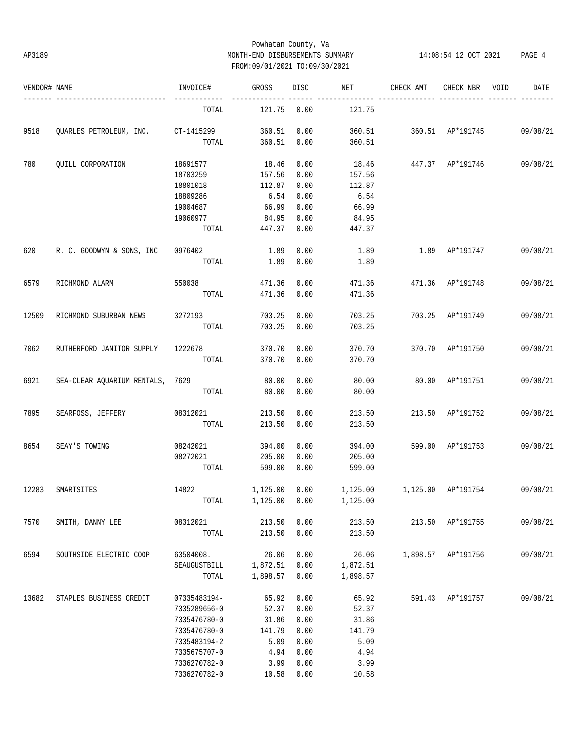### Powhatan County, Va AP3189 MONTH-END DISBURSEMENTS SUMMARY 14:08:54 12 OCT 2021 PAGE 4 FROM:09/01/2021 TO:09/30/2021

| VENDOR# NAME |                                    | INVOICE#     | GROSS        | <b>DISC</b> | NET      | CHECK AMT                                  | CHECK NBR          | VOID | DATE     |
|--------------|------------------------------------|--------------|--------------|-------------|----------|--------------------------------------------|--------------------|------|----------|
|              | -----------------                  | TOTAL        | 121.75       | 0.00        | 121.75   |                                            |                    |      |          |
| 9518         | OUARLES PETROLEUM, INC. CT-1415299 |              | 360.51       | 0.00        |          | 360.51   360.51   AP*191745   09/08/21     |                    |      |          |
|              |                                    | TOTAL        | 360.51       | 0.00        | 360.51   |                                            |                    |      |          |
| 780          | QUILL CORPORATION                  | 18691577     | 18.46        | 0.00        |          | 18.46  447.37  AP*191746  09/08/21         |                    |      |          |
|              |                                    | 18703259     | 157.56       | 0.00        | 157.56   |                                            |                    |      |          |
|              |                                    | 18801018     | 112.87       | 0.00        | 112.87   |                                            |                    |      |          |
|              |                                    | 18809286     | 6.54         | 0.00        | 6.54     |                                            |                    |      |          |
|              |                                    | 19004687     | 66.99        | 0.00        | 66.99    |                                            |                    |      |          |
|              |                                    | 19060977     | 84.95        | 0.00        | 84.95    |                                            |                    |      |          |
|              |                                    |              | TOTAL 447.37 | 0.00        | 447.37   |                                            |                    |      |          |
| 620          | R. C. GOODWYN & SONS, INC 0976402  |              | 1.89         | 0.00        | 1.89     | 1.89 AP*191747                             |                    |      | 09/08/21 |
|              |                                    | TOTAL        | 1.89         | 0.00        | 1.89     |                                            |                    |      |          |
| 6579         | RICHMOND ALARM                     | 550038       | 471.36       | 0.00        |          | 471.36  471.36  AP*191748                  |                    |      | 09/08/21 |
|              |                                    | TOTAL        | 471.36       | 0.00        | 471.36   |                                            |                    |      |          |
| 12509        | RICHMOND SUBURBAN NEWS             | 3272193      | 703.25       | 0.00        | 703.25   | 703.25 AP*191749                           |                    |      | 09/08/21 |
|              |                                    | TOTAL        | 703.25       | 0.00        | 703.25   |                                            |                    |      |          |
| 7062         | RUTHERFORD JANITOR SUPPLY 1222678  |              | 370.70       | 0.00        | 370.70   | 370.70 AP*191750                           |                    |      | 09/08/21 |
|              |                                    | TOTAL        | 370.70       | 0.00        | 370.70   |                                            |                    |      |          |
| 6921         | SEA-CLEAR AQUARIUM RENTALS, 7629   |              | 80.00        | 0.00        | 80.00    |                                            | 80.00 AP*191751    |      | 09/08/21 |
|              |                                    | TOTAL        | 80.00        | 0.00        | 80.00    |                                            |                    |      |          |
| 7895         | SEARFOSS, JEFFERY                  | 08312021     | 213.50       | 0.00        | 213.50   | 213.50 AP*191752                           |                    |      | 09/08/21 |
|              |                                    | TOTAL        | 213.50       | 0.00        | 213.50   |                                            |                    |      |          |
| 8654         | SEAY'S TOWING                      | 08242021     | 394.00       | 0.00        | 394.00   | 599.00 AP*191753                           |                    |      | 09/08/21 |
|              |                                    | 08272021     | 205.00       | 0.00        | 205.00   |                                            |                    |      |          |
|              |                                    | TOTAL        | 599.00       | 0.00        | 599.00   |                                            |                    |      |          |
| 12283        | SMARTSITES                         | 14822        | 1,125.00     | 0.00        |          | 1,125.00   1,125.00   AP*191754   09/08/21 |                    |      |          |
|              |                                    | TOTAL        | 1,125.00     | 0.00        | 1,125.00 |                                            |                    |      |          |
| 7570         | SMITH, DANNY LEE                   | 08312021     | 213.50       | 0.00        | 213.50   |                                            | 213.50 AP*191755   |      | 09/08/21 |
|              |                                    | TOTAL        | 213.50       | 0.00        | 213.50   |                                            |                    |      |          |
| 6594         | SOUTHSIDE ELECTRIC COOP            | 63504008.    | 26.06        | 0.00        | 26.06    |                                            | 1,898.57 AP*191756 |      | 09/08/21 |
|              |                                    | SEAUGUSTBILL | 1,872.51     | 0.00        | 1,872.51 |                                            |                    |      |          |
|              |                                    | TOTAL        | 1,898.57     | 0.00        | 1,898.57 |                                            |                    |      |          |
| 13682        | STAPLES BUSINESS CREDIT            | 07335483194- | 65.92        | 0.00        | 65.92    | 591.43                                     | AP*191757          |      | 09/08/21 |
|              |                                    | 7335289656-0 | 52.37        | 0.00        | 52.37    |                                            |                    |      |          |
|              |                                    | 7335476780-0 | 31.86        | 0.00        | 31.86    |                                            |                    |      |          |
|              |                                    | 7335476780-0 | 141.79       | 0.00        | 141.79   |                                            |                    |      |          |
|              |                                    | 7335483194-2 | 5.09         | 0.00        | 5.09     |                                            |                    |      |          |
|              |                                    | 7335675707-0 | 4.94         | 0.00        | 4.94     |                                            |                    |      |          |
|              |                                    | 7336270782-0 | 3.99         | 0.00        | 3.99     |                                            |                    |      |          |
|              |                                    | 7336270782-0 | 10.58        | 0.00        | 10.58    |                                            |                    |      |          |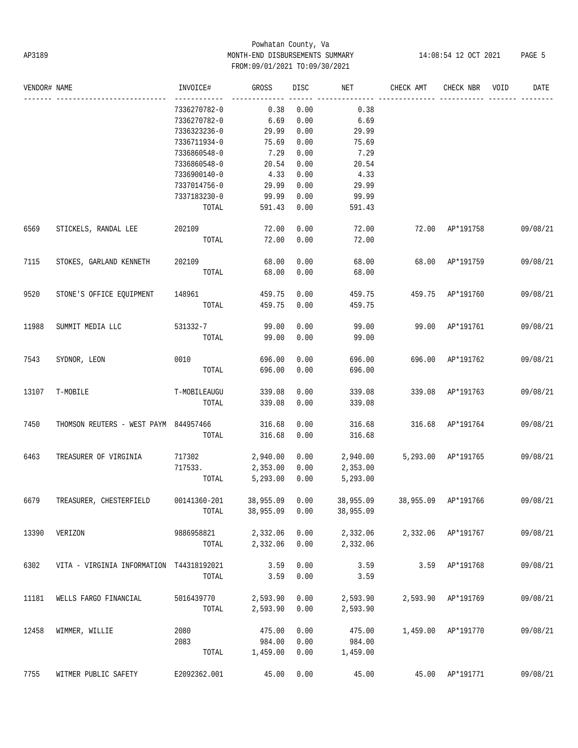# Powhatan County, Va AP3189 MONTH-END DISBURSEMENTS SUMMARY 14:08:54 12 OCT 2021 PAGE 5 FROM:09/01/2021 TO:09/30/2021

| VENDOR# NAME |                                              | INVOICE#         | GROSS          | DISC | NET       | CHECK AMT                     | CHECK NBR       | VOID | DATE     |
|--------------|----------------------------------------------|------------------|----------------|------|-----------|-------------------------------|-----------------|------|----------|
|              |                                              | 7336270782-0     | 0.38           | 0.00 | 0.38      |                               |                 |      |          |
|              |                                              | 7336270782-0     | 6.69           | 0.00 | 6.69      |                               |                 |      |          |
|              |                                              | 7336323236-0     | 29.99          | 0.00 | 29.99     |                               |                 |      |          |
|              |                                              | 7336711934-0     | 75.69          | 0.00 | 75.69     |                               |                 |      |          |
|              |                                              | 7336860548-0     | 7.29           | 0.00 | 7.29      |                               |                 |      |          |
|              |                                              | 7336860548-0     | 20.54          | 0.00 | 20.54     |                               |                 |      |          |
|              |                                              | 7336900140-0     | 4.33           | 0.00 | 4.33      |                               |                 |      |          |
|              |                                              | 7337014756-0     | 29.99          | 0.00 | 29.99     |                               |                 |      |          |
|              |                                              | 7337183230-0     | 99.99          | 0.00 | 99.99     |                               |                 |      |          |
|              |                                              | TOTAL            | 591.43 0.00    |      | 591.43    |                               |                 |      |          |
| 6569         | STICKELS, RANDAL LEE                         | 202109           | 72.00          | 0.00 | 72.00     | 72.00 AP*191758               |                 |      | 09/08/21 |
|              |                                              | TOTAL            | 72.00          | 0.00 | 72.00     |                               |                 |      |          |
| 7115         | STOKES, GARLAND KENNETH                      | 202109           | 68.00          | 0.00 | 68.00     |                               | 68.00 AP*191759 |      | 09/08/21 |
|              |                                              | TOTAL            | 68.00          | 0.00 | 68.00     |                               |                 |      |          |
| 9520         | STONE'S OFFICE EQUIPMENT                     | 148961           | 459.75         | 0.00 | 459.75    | 459.75 AP*191760              |                 |      | 09/08/21 |
|              |                                              | TOTAL            | 459.75         | 0.00 | 459.75    |                               |                 |      |          |
| 11988        | SUMMIT MEDIA LLC                             | 531332-7         | 99.00          | 0.00 | 99.00     | 99.00 AP*191761               |                 |      | 09/08/21 |
|              |                                              |                  | TOTAL 99.00    | 0.00 | 99.00     |                               |                 |      |          |
| 7543         | SYDNOR, LEON                                 | 0010 0010        | 696.00         | 0.00 | 696.00    | 696.00 AP*191762              |                 |      | 09/08/21 |
|              |                                              | TOTAL            | 696.00         | 0.00 | 696.00    |                               |                 |      |          |
| 13107        | T-MOBILE                                     | T-MOBILEAUGU     | 339.08         | 0.00 | 339.08    | 339.08 AP*191763              |                 |      | 09/08/21 |
|              |                                              | TOTAL            | 339.08         | 0.00 | 339.08    |                               |                 |      |          |
| 7450         | THOMSON REUTERS - WEST PAYM 844957466 316.68 |                  |                | 0.00 | 316.68    | 316.68 AP*191764              |                 |      | 09/08/21 |
|              |                                              | TOTAL            | 316.68         | 0.00 | 316.68    |                               |                 |      |          |
| 6463         | TREASURER OF VIRGINIA                        | 717302           | 2,940.00       | 0.00 |           | 2,940.00 5,293.00 AP*191765   |                 |      | 09/08/21 |
|              |                                              | 717533. 2,353.00 |                | 0.00 | 2,353.00  |                               |                 |      |          |
|              |                                              |                  | TOTAL 5,293.00 | 0.00 | 5,293.00  |                               |                 |      |          |
| 6679         | TREASURER, CHESTERFIELD                      | 00141360-201     | 38,955.09 0.00 |      |           | 38,955.09 38,955.09 AP*191766 |                 |      | 09/08/21 |
|              |                                              | TOTAL            | 38,955.09      | 0.00 | 38,955.09 |                               |                 |      |          |
| 13390        | VERIZON                                      | 9886958821       | 2,332.06       | 0.00 | 2,332.06  | 2,332.06                      | AP*191767       |      | 09/08/21 |
|              |                                              | TOTAL            | 2,332.06       | 0.00 | 2,332.06  |                               |                 |      |          |
| 6302         | VITA - VIRGINIA INFORMATION                  | T44318192021     | 3.59           | 0.00 | 3.59      | 3.59                          | AP*191768       |      | 09/08/21 |
|              |                                              | TOTAL            | 3.59           | 0.00 | 3.59      |                               |                 |      |          |
| 11181        | WELLS FARGO FINANCIAL                        | 5016439770       | 2,593.90       | 0.00 | 2,593.90  | 2,593.90                      | AP*191769       |      | 09/08/21 |
|              |                                              | TOTAL            | 2,593.90       | 0.00 | 2,593.90  |                               |                 |      |          |
| 12458        | WIMMER, WILLIE                               | 2080             | 475.00         | 0.00 | 475.00    | 1,459.00                      | AP*191770       |      | 09/08/21 |
|              |                                              | 2083             | 984.00         | 0.00 | 984.00    |                               |                 |      |          |
|              |                                              | TOTAL            | 1,459.00       | 0.00 | 1,459.00  |                               |                 |      |          |
| 7755         | WITMER PUBLIC SAFETY                         | E2092362.001     | 45.00          | 0.00 | 45.00     |                               | 45.00 AP*191771 |      | 09/08/21 |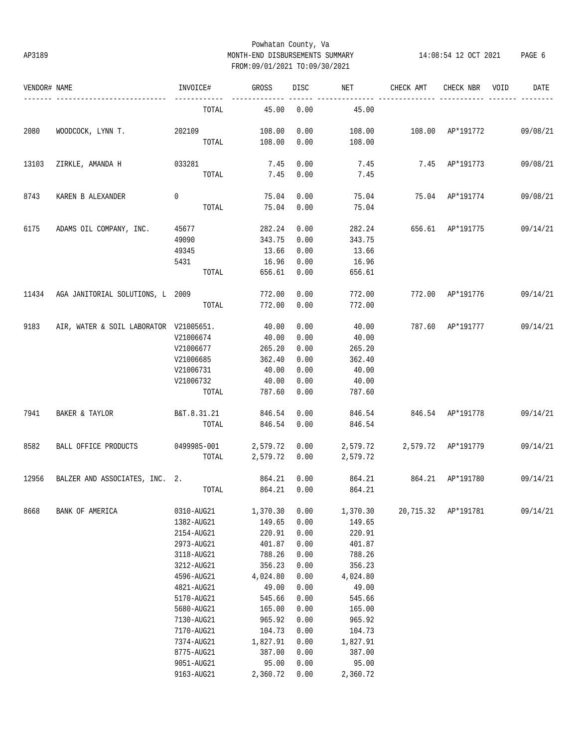### Powhatan County, Va AP3189 MONTH-END DISBURSEMENTS SUMMARY 14:08:54 12 OCT 2021 PAGE 6 FROM:09/01/2021 TO:09/30/2021

| VENDOR# NAME |                                        | INVOICE#       | GROSS         | DISC | <b>NET</b>                  | CHECK AMT                 | CHECK NBR      | VOID | DATE     |
|--------------|----------------------------------------|----------------|---------------|------|-----------------------------|---------------------------|----------------|------|----------|
|              | -----------------------                | TOTAL          | 45.00         | 0.00 | 45.00                       |                           |                |      |          |
| 2080         | WOODCOCK, LYNN T. 202109               |                | 108.00        | 0.00 | 108.00                      | 108.00 AP*191772 09/08/21 |                |      |          |
|              |                                        |                | TOTAL 108.00  | 0.00 | 108.00                      |                           |                |      |          |
| 13103        | ZIRKLE, AMANDA H 033281                |                | 7.45          | 0.00 | 7.45                        |                           | 7.45 AP*191773 |      | 09/08/21 |
|              |                                        | $_{\tt TOTAL}$ | 7.45          | 0.00 | 7.45                        |                           |                |      |          |
| 8743         | KAREN B ALEXANDER                      | $\mathbf 0$    | 75.04         | 0.00 |                             | 75.04 75.04 AP*191774     |                |      | 09/08/21 |
|              |                                        | TOTAL          | 75.04         | 0.00 | 75.04                       |                           |                |      |          |
| 6175         | ADAMS OIL COMPANY, INC. 45677          |                | 282.24        | 0.00 |                             | 282.24 656.61 AP*191775   |                |      | 09/14/21 |
|              |                                        | 49090          | 343.75        | 0.00 | 343.75                      |                           |                |      |          |
|              |                                        | 49345          | 13.66         | 0.00 | 13.66                       |                           |                |      |          |
|              |                                        | 5431           | 16.96         | 0.00 | 16.96                       |                           |                |      |          |
|              |                                        | TOTAL          | 656.61        | 0.00 | 656.61                      |                           |                |      |          |
|              | 11434 AGA JANITORIAL SOLUTIONS, L 2009 |                | 772.00        | 0.00 | 772.00                      | 772.00 AP*191776          |                |      | 09/14/21 |
|              |                                        | TOTAL          | 772.00        | 0.00 | 772.00                      |                           |                |      |          |
| 9183         | AIR, WATER & SOIL LABORATOR V21005651. |                | 40.00         | 0.00 | 40.00                       | 787.60 AP*191777          |                |      | 09/14/21 |
|              |                                        | V21006674      | 40.00         | 0.00 | 40.00                       |                           |                |      |          |
|              |                                        | V21006677      | 265.20        | 0.00 | 265.20                      |                           |                |      |          |
|              |                                        | V21006685      | 362.40        | 0.00 | 362.40                      |                           |                |      |          |
|              |                                        | V21006731      | 40.00         | 0.00 | 40.00                       |                           |                |      |          |
|              |                                        | V21006732      | 40.00         | 0.00 | 40.00                       |                           |                |      |          |
|              |                                        | TOTAL          | 787.60        | 0.00 | 787.60                      |                           |                |      |          |
| 7941         | BAKER & TAYLOR                         | B&T.8.31.21    | 846.54        | 0.00 |                             | 846.54 846.54 AP*191778   |                |      | 09/14/21 |
|              |                                        | TOTAL          | 846.54        | 0.00 | 846.54                      |                           |                |      |          |
| 8582         | BALL OFFICE PRODUCTS 0499985-001       |                | 2,579.72 0.00 |      | 2,579.72 2,579.72 AP*191779 |                           |                |      | 09/14/21 |
|              |                                        | TOTAL          | 2,579.72 0.00 |      | 2,579.72                    |                           |                |      |          |
| 12956        | BALZER AND ASSOCIATES, INC. 2.         |                | 864.21        | 0.00 | 864.21 864.21 AP*191780     |                           |                |      | 09/14/21 |
|              |                                        |                | TOTAL 864.21  | 0.00 | 864.21                      |                           |                |      |          |
| 8668         | BANK OF AMERICA                        | 0310-AUG21     | 1,370.30      | 0.00 | 1,370.30                    | 20,715.32                 | AP*191781      |      | 09/14/21 |
|              |                                        | 1382-AUG21     | 149.65        | 0.00 | 149.65                      |                           |                |      |          |
|              |                                        | 2154-AUG21     | 220.91        | 0.00 | 220.91                      |                           |                |      |          |
|              |                                        | 2973-AUG21     | 401.87        | 0.00 | 401.87                      |                           |                |      |          |
|              |                                        | 3118-AUG21     | 788.26        | 0.00 | 788.26                      |                           |                |      |          |
|              |                                        | 3212-AUG21     | 356.23        | 0.00 | 356.23                      |                           |                |      |          |
|              |                                        | 4596-AUG21     | 4,024.80      | 0.00 | 4,024.80                    |                           |                |      |          |
|              |                                        | 4821-AUG21     | 49.00         | 0.00 | 49.00                       |                           |                |      |          |
|              |                                        | 5170-AUG21     | 545.66        | 0.00 | 545.66                      |                           |                |      |          |
|              |                                        | 5680-AUG21     | 165.00        | 0.00 | 165.00                      |                           |                |      |          |
|              |                                        | 7130-AUG21     | 965.92        | 0.00 | 965.92                      |                           |                |      |          |
|              |                                        | 7170-AUG21     | 104.73        | 0.00 | 104.73                      |                           |                |      |          |
|              |                                        | 7374-AUG21     | 1,827.91      | 0.00 | 1,827.91                    |                           |                |      |          |
|              |                                        | 8775-AUG21     | 387.00        | 0.00 | 387.00                      |                           |                |      |          |
|              |                                        | 9051-AUG21     | 95.00         | 0.00 | 95.00                       |                           |                |      |          |
|              |                                        | 9163-AUG21     | 2,360.72      | 0.00 | 2,360.72                    |                           |                |      |          |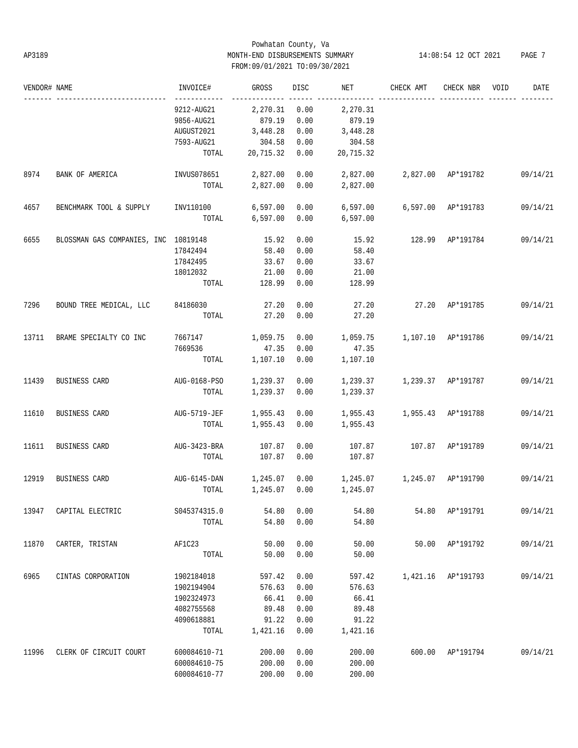### Powhatan County, Va AP3189 MONTH-END DISBURSEMENTS SUMMARY 14:08:54 12 OCT 2021 PAGE 7 FROM:09/01/2021 TO:09/30/2021

| VENDOR# NAME |                                      | INVOICE#             | GROSS         | <b>DISC</b> | NET                             | CHECK AMT          | CHECK NBR          | VOID | DATE     |
|--------------|--------------------------------------|----------------------|---------------|-------------|---------------------------------|--------------------|--------------------|------|----------|
|              |                                      | 9212-AUG21           | 2,270.31      | 0.00        | 2,270.31                        |                    |                    |      |          |
|              |                                      | 9856-AUG21           | 879.19        | 0.00        | 879.19                          |                    |                    |      |          |
|              |                                      | AUGUST2021           | 3,448.28      | 0.00        | 3,448.28                        |                    |                    |      |          |
|              |                                      | 7593-AUG21           | 304.58        | 0.00        | 304.58                          |                    |                    |      |          |
|              |                                      |                      |               |             |                                 |                    |                    |      |          |
|              |                                      | TOTAL                | 20,715.32     | 0.00        | 20,715.32                       |                    |                    |      |          |
| 8974         | BANK OF AMERICA                      | INVUS078651 2,827.00 |               | 0.00        | 2,827.00                        | 2,827.00 AP*191782 |                    |      | 09/14/21 |
|              |                                      | TOTAL                | 2,827.00      | 0.00        | 2,827.00                        |                    |                    |      |          |
| 4657         | BENCHMARK TOOL & SUPPLY              | INV110100            | 6,597.00      | 0.00        | 6,597.00                        |                    | 6,597.00 AP*191783 |      | 09/14/21 |
|              |                                      | TOTAL                | 6,597.00      | 0.00        | 6,597.00                        |                    |                    |      |          |
| 6655         | BLOSSMAN GAS COMPANIES, INC 10819148 |                      | 15.92         | 0.00        | 15.92                           | 128.99 AP*191784   |                    |      | 09/14/21 |
|              |                                      | 17842494             | 58.40         | 0.00        | 58.40                           |                    |                    |      |          |
|              |                                      | 17842495             | 33.67         | 0.00        | 33.67                           |                    |                    |      |          |
|              |                                      | 18012032             | 21.00         | 0.00        | 21.00                           |                    |                    |      |          |
|              |                                      | TOTAL                | 128.99        | 0.00        | 128.99                          |                    |                    |      |          |
| 7296         | BOUND TREE MEDICAL, LLC 84186030     |                      | 27.20         | 0.00        | 27.20                           |                    | 27.20 AP*191785    |      | 09/14/21 |
|              |                                      | TOTAL                | 27.20         | 0.00        | 27.20                           |                    |                    |      |          |
|              |                                      |                      |               |             |                                 |                    |                    |      |          |
| 13711        | BRAME SPECIALTY CO INC               | 7667147              | 1,059.75      | 0.00        | 1,059.75                        | 1,107.10 AP*191786 |                    |      | 09/14/21 |
|              |                                      | 7669536              | 47.35         | 0.00        | 47.35                           |                    |                    |      |          |
|              |                                      | TOTAL                | 1,107.10      | 0.00        | 1,107.10                        |                    |                    |      |          |
| 11439        | BUSINESS CARD                        | AUG-0168-PSO         | 1,239.37      | 0.00        | 1,239.37                        | 1,239.37 AP*191787 |                    |      | 09/14/21 |
|              |                                      | TOTAL                | 1,239.37      | 0.00        | 1,239.37                        |                    |                    |      |          |
|              |                                      |                      |               |             |                                 |                    |                    |      |          |
| 11610        | BUSINESS CARD                        | AUG-5719-JEF         | 1,955.43      | 0.00        | 1,955.43                        | 1,955.43 AP*191788 |                    |      | 09/14/21 |
|              |                                      | TOTAL                | 1,955.43      | 0.00        | 1,955.43                        |                    |                    |      |          |
| 11611        | BUSINESS CARD                        | AUG-3423-BRA         | 107.87        | 0.00        | 107.87                          |                    | 107.87 AP*191789   |      | 09/14/21 |
|              |                                      | TOTAL                | 107.87        | 0.00        | 107.87                          |                    |                    |      |          |
|              |                                      |                      |               |             |                                 |                    |                    |      |          |
| 12919        | BUSINESS CARD                        | $AUG-6145-DAN$       | 1,245.07      | 0.00        | 1,245.07   1,245.07   AP*191790 |                    |                    |      | 09/14/21 |
|              |                                      | TOTAL                | 1,245.07 0.00 |             | 1,245.07                        |                    |                    |      |          |
| 13947        | CAPITAL ELECTRIC                     | S045374315.0         | 54.80         | 0.00        | 54.80                           |                    | 54.80 AP*191791    |      | 09/14/21 |
|              |                                      | TOTAL                | 54.80         | 0.00        | 54.80                           |                    |                    |      |          |
|              |                                      |                      |               |             |                                 |                    |                    |      |          |
| 11870        | CARTER, TRISTAN                      | AF1C23               | 50.00         | 0.00        | 50.00                           |                    | 50.00 AP*191792    |      | 09/14/21 |
|              |                                      | TOTAL                | 50.00         | 0.00        | 50.00                           |                    |                    |      |          |
| 6965         | CINTAS CORPORATION                   | 1902184018           | 597.42        | 0.00        | 597.42                          |                    | 1,421.16 AP*191793 |      | 09/14/21 |
|              |                                      | 1902194904           | 576.63        | 0.00        | 576.63                          |                    |                    |      |          |
|              |                                      | 1902324973           | 66.41         | 0.00        | 66.41                           |                    |                    |      |          |
|              |                                      | 4082755568           | 89.48         | 0.00        | 89.48                           |                    |                    |      |          |
|              |                                      | 4090618881           | 91.22         | 0.00        | 91.22                           |                    |                    |      |          |
|              |                                      | TOTAL                | 1,421.16      | 0.00        | 1,421.16                        |                    |                    |      |          |
|              |                                      |                      |               |             |                                 |                    |                    |      |          |
| 11996        | CLERK OF CIRCUIT COURT               | 600084610-71         | 200.00        | 0.00        | 200.00                          |                    | 600.00 AP*191794   |      | 09/14/21 |
|              |                                      | 600084610-75         | 200.00        | 0.00        | 200.00                          |                    |                    |      |          |
|              |                                      | 600084610-77         | 200.00        | 0.00        | 200.00                          |                    |                    |      |          |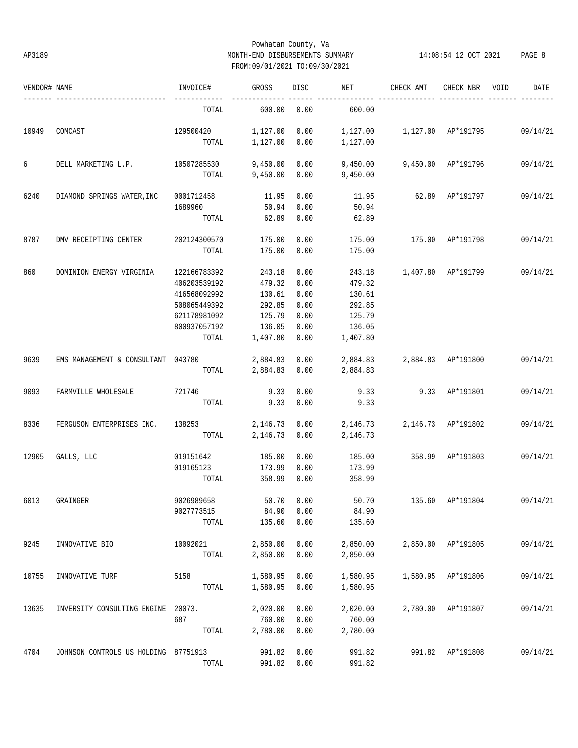### Powhatan County, Va AP3189 MONTH-END DISBURSEMENTS SUMMARY 14:08:54 12 OCT 2021 PAGE 8 FROM:09/01/2021 TO:09/30/2021

| VENDOR# NAME |                                      | INVOICE#     | <b>GROSS</b> | <b>DISC</b> | NET      | CHECK AMT          | CHECK NBR          | VOID | DATE     |
|--------------|--------------------------------------|--------------|--------------|-------------|----------|--------------------|--------------------|------|----------|
|              |                                      | TOTAL        | 600.00       | 0.00        | 600.00   |                    |                    |      |          |
| 10949        | COMCAST                              | 129500420    | 1,127.00     | 0.00        | 1,127.00 | 1,127.00 AP*191795 |                    |      | 09/14/21 |
|              |                                      | TOTAL        | 1,127.00     | 0.00        | 1,127.00 |                    |                    |      |          |
| 6            | DELL MARKETING L.P.                  | 10507285530  | 9,450.00     | 0.00        | 9,450.00 |                    | 9,450.00 AP*191796 |      | 09/14/21 |
|              |                                      | TOTAL        | 9,450.00     | 0.00        | 9,450.00 |                    |                    |      |          |
| 6240         | DIAMOND SPRINGS WATER, INC           | 0001712458   | 11.95        | 0.00        | 11.95    | 62.89              | AP*191797          |      | 09/14/21 |
|              |                                      | 1689960      | 50.94        | 0.00        | 50.94    |                    |                    |      |          |
|              |                                      | TOTAL        | 62.89        | 0.00        | 62.89    |                    |                    |      |          |
| 8787         | DMV RECEIPTING CENTER                | 202124300570 | 175.00       | 0.00        | 175.00   | 175.00             | AP*191798          |      | 09/14/21 |
|              |                                      | TOTAL        | 175.00       | 0.00        | 175.00   |                    |                    |      |          |
| 860          | DOMINION ENERGY VIRGINIA             | 122166783392 | 243.18       | 0.00        | 243.18   |                    | 1,407.80 AP*191799 |      | 09/14/21 |
|              |                                      | 406203539192 | 479.32       | 0.00        | 479.32   |                    |                    |      |          |
|              |                                      | 416568092992 | 130.61       | 0.00        | 130.61   |                    |                    |      |          |
|              |                                      | 508065449392 | 292.85       | 0.00        | 292.85   |                    |                    |      |          |
|              |                                      | 621178981092 | 125.79       | 0.00        | 125.79   |                    |                    |      |          |
|              |                                      | 800937057192 | 136.05       | 0.00        | 136.05   |                    |                    |      |          |
|              |                                      | TOTAL        | 1,407.80     | 0.00        | 1,407.80 |                    |                    |      |          |
| 9639         | EMS MANAGEMENT & CONSULTANT          | 043780       | 2,884.83     | 0.00        | 2,884.83 | 2,884.83 AP*191800 |                    |      | 09/14/21 |
|              |                                      | TOTAL        | 2,884.83     | 0.00        | 2,884.83 |                    |                    |      |          |
| 9093         | FARMVILLE WHOLESALE                  | 721746       | 9.33         | 0.00        | 9.33     |                    | 9.33 AP*191801     |      | 09/14/21 |
|              |                                      | TOTAL        | 9.33         | 0.00        | 9.33     |                    |                    |      |          |
| 8336         | FERGUSON ENTERPRISES INC.            | 138253       | 2,146.73     | 0.00        | 2,146.73 |                    | 2,146.73 AP*191802 |      | 09/14/21 |
|              |                                      | TOTAL        | 2,146.73     | 0.00        | 2,146.73 |                    |                    |      |          |
| 12905        | GALLS, LLC                           | 019151642    | 185.00       | 0.00        | 185.00   | 358.99             | AP*191803          |      | 09/14/21 |
|              |                                      | 019165123    | 173.99       | 0.00        | 173.99   |                    |                    |      |          |
|              |                                      | TOTAL        | 358.99       | 0.00        | 358.99   |                    |                    |      |          |
| 6013         | GRAINGER                             | 9026989658   | 50.70        | 0.00        | 50.70    |                    | 135.60 AP*191804   |      | 09/14/21 |
|              |                                      | 9027773515   | 84.90        | 0.00        | 84.90    |                    |                    |      |          |
|              |                                      | TOTAL        | 135.60       | 0.00        | 135.60   |                    |                    |      |          |
| 9245         | INNOVATIVE BIO                       | 10092021     | 2,850.00     | 0.00        | 2,850.00 |                    | 2,850.00 AP*191805 |      | 09/14/21 |
|              |                                      | TOTAL        | 2,850.00     | 0.00        | 2,850.00 |                    |                    |      |          |
| 10755        | INNOVATIVE TURF                      | 5158         | 1,580.95     | 0.00        | 1,580.95 |                    | 1,580.95 AP*191806 |      | 09/14/21 |
|              |                                      | TOTAL        | 1,580.95     | 0.00        | 1,580.95 |                    |                    |      |          |
| 13635        | INVERSITY CONSULTING ENGINE          | 20073.       | 2,020.00     | 0.00        | 2,020.00 |                    | 2,780.00 AP*191807 |      | 09/14/21 |
|              |                                      | 687          | 760.00       | 0.00        | 760.00   |                    |                    |      |          |
|              |                                      | TOTAL        | 2,780.00     | 0.00        | 2,780.00 |                    |                    |      |          |
| 4704         | JOHNSON CONTROLS US HOLDING 87751913 |              | 991.82       | 0.00        | 991.82   |                    | 991.82 AP*191808   |      | 09/14/21 |
|              |                                      | TOTAL        | 991.82       | 0.00        | 991.82   |                    |                    |      |          |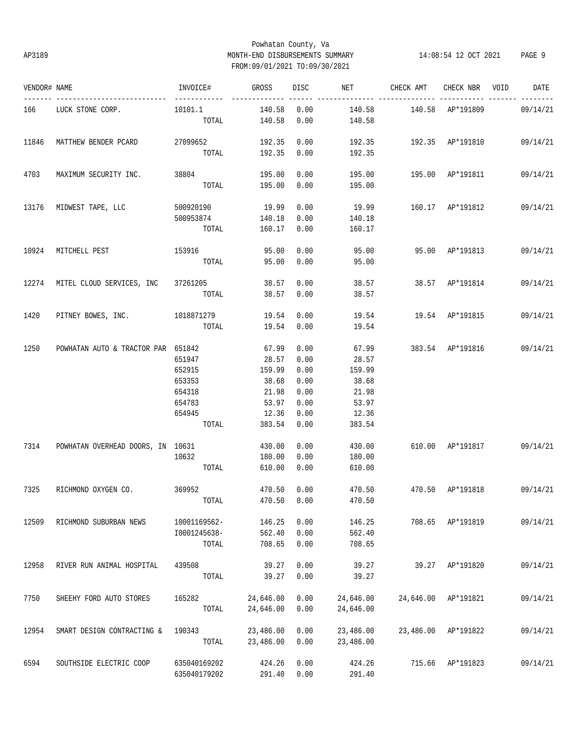### Powhatan County, Va AP3189 MONTH-END DISBURSEMENTS SUMMARY 14:08:54 12 OCT 2021 PAGE 9 FROM:09/01/2021 TO:09/30/2021

| VENDOR# NAME |                                    | INVOICE#        | <b>GROSS</b> |      | DISC NET CHECK AMT CHECK NBR VOID |                             |                  | DATE                                |
|--------------|------------------------------------|-----------------|--------------|------|-----------------------------------|-----------------------------|------------------|-------------------------------------|
|              | 166 LUCK STONE CORP.               | 10101.1         | 140.58       | 0.00 |                                   | 140.58   140.58   AP*191809 |                  | 09/14/21                            |
|              |                                    |                 | TOTAL 140.58 | 0.00 | 140.58                            |                             |                  |                                     |
| 11846        | MATTHEW BENDER PCARD               | 27099652        | 192.35       | 0.00 |                                   |                             |                  | 192.35  192.35  AP*191810  09/14/21 |
|              |                                    | TOTAL           | 192.35       | 0.00 | 192.35                            |                             |                  |                                     |
| 4703         | MAXIMUM SECURITY INC.              | 38804           | 195.00       | 0.00 |                                   | 195.00   195.00   AP*191811 |                  | 09/14/21                            |
|              |                                    | TOTAL           | 195.00       | 0.00 | 195.00                            |                             |                  |                                     |
|              | 13176 MIDWEST TAPE, LLC            | 500920190 19.99 |              | 0.00 |                                   |                             |                  | 19.99 160.17 AP*191812 09/14/21     |
|              |                                    | 500953874       | 140.18       | 0.00 | 140.18                            |                             |                  |                                     |
|              |                                    | TOTAL           | 160.17 0.00  |      | 160.17                            |                             |                  |                                     |
| 10924        | MITCHELL PEST                      | 153916 95.00    |              | 0.00 | 95.00  95.00  AP*191813           |                             |                  | 09/14/21                            |
|              |                                    | TOTAL           | 95.00        | 0.00 | 95.00                             |                             |                  |                                     |
| 12274        | MITEL CLOUD SERVICES, INC 37261205 |                 | 38.57        | 0.00 |                                   | 38.57 38.57 AP*191814       |                  | 09/14/21                            |
|              |                                    | TOTAL           | 38.57        | 0.00 | 38.57                             |                             |                  |                                     |
| 1420         | PITNEY BOWES, INC. 1018871279      |                 | 19.54        | 0.00 |                                   | 19.54   19.54   AP*191815   |                  | 09/14/21                            |
|              |                                    | TOTAL           | 19.54        | 0.00 | 19.54                             |                             |                  |                                     |
| 1250         | POWHATAN AUTO & TRACTOR PAR 651842 |                 | 67.99        | 0.00 | 67.99                             |                             |                  | 383.54 AP*191816 09/14/21           |
|              |                                    | 651947          | 28.57        | 0.00 | 28.57                             |                             |                  |                                     |
|              |                                    | 652915          | 159.99       | 0.00 | 159.99                            |                             |                  |                                     |
|              |                                    | 653353          | 38.68        | 0.00 | 38.68                             |                             |                  |                                     |
|              |                                    | 654318          | 21.98        | 0.00 | 21.98                             |                             |                  |                                     |
|              |                                    | 654783          | 53.97        | 0.00 | 53.97                             |                             |                  |                                     |
|              |                                    | 654945          | 12.36        | 0.00 | 12.36                             |                             |                  |                                     |
|              |                                    | TOTAL           | 383.54       | 0.00 | 383.54                            |                             |                  |                                     |
| 7314         | POWHATAN OVERHEAD DOORS, IN 10631  |                 | 430.00       | 0.00 | 430.00                            |                             |                  | 610.00 AP*191817 09/14/21           |
|              |                                    | 10632           | 180.00       | 0.00 | 180.00                            |                             |                  |                                     |
|              |                                    | TOTAL           | 610.00       | 0.00 | 610.00                            |                             |                  |                                     |
| 7325         | RICHMOND OXYGEN CO.                | 369952          | 470.50       | 0.00 | 470.50                            |                             |                  | 470.50 AP*191818 09/14/21           |
|              |                                    | TOTAL           |              |      | 470.50 0.00 470.50                |                             |                  |                                     |
| 12509        | RICHMOND SUBURBAN NEWS             | 10001169562-    | 146.25       | 0.00 | 146.25                            |                             | 708.65 AP*191819 | 09/14/21                            |
|              |                                    | I0001245638-    | 562.40       | 0.00 | 562.40                            |                             |                  |                                     |
|              |                                    | TOTAL           | 708.65       | 0.00 | 708.65                            |                             |                  |                                     |
| 12958        | RIVER RUN ANIMAL HOSPITAL          | 439508          | 39.27        | 0.00 | 39.27                             | 39.27                       | AP*191820        | 09/14/21                            |
|              |                                    | TOTAL           | 39.27        | 0.00 | 39.27                             |                             |                  |                                     |
| 7750         | SHEEHY FORD AUTO STORES            | 165282          | 24,646.00    | 0.00 | 24,646.00                         | 24,646.00                   | AP*191821        | 09/14/21                            |
|              |                                    | TOTAL           | 24,646.00    | 0.00 | 24,646.00                         |                             |                  |                                     |
| 12954        | SMART DESIGN CONTRACTING &         | 190343          | 23,486.00    | 0.00 | 23,486.00                         | 23,486.00                   | AP*191822        | 09/14/21                            |
|              |                                    | TOTAL           | 23,486.00    | 0.00 | 23,486.00                         |                             |                  |                                     |
| 6594         | SOUTHSIDE ELECTRIC COOP            | 635040169202    | 424.26       | 0.00 | 424.26                            | 715.66                      | AP*191823        | 09/14/21                            |
|              |                                    | 635040179202    | 291.40       | 0.00 | 291.40                            |                             |                  |                                     |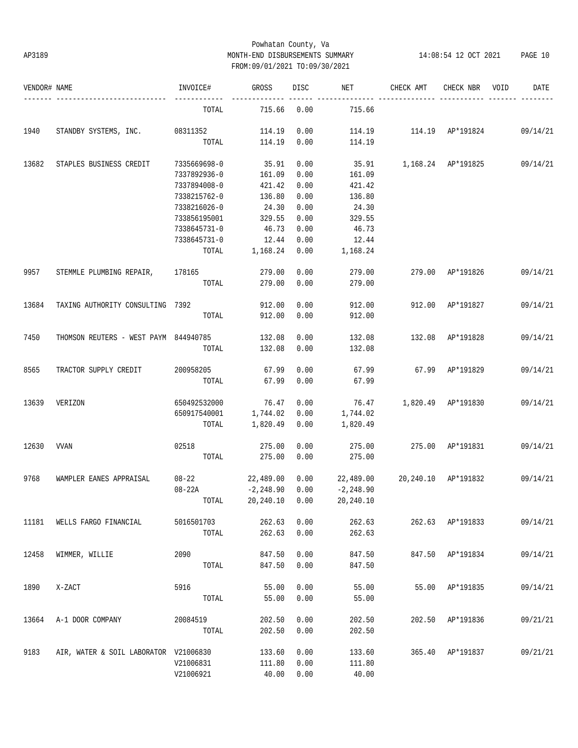# Powhatan County, Va AP3189 MONTH-END DISBURSEMENTS SUMMARY 14:08:54 12 OCT 2021 PAGE 10 FROM:09/01/2021 TO:09/30/2021

| VENDOR# NAME |                                       | INVOICE#            | GROSS        | DISC | NET                             | CHECK AMT                              | CHECK NBR        | VOID | DATE     |
|--------------|---------------------------------------|---------------------|--------------|------|---------------------------------|----------------------------------------|------------------|------|----------|
|              |                                       | TOTAL               | 715.66       | 0.00 | 715.66                          |                                        |                  |      |          |
| 1940         | STANDBY SYSTEMS, INC. 08311352        |                     | 114.19       | 0.00 |                                 | 114.19   114.19   AP*191824   09/14/21 |                  |      |          |
|              |                                       | TOTAL               | 114.19       | 0.00 | 114.19                          |                                        |                  |      |          |
| 13682        | STAPLES BUSINESS CREDIT               | 7335669698-0        | 35.91        | 0.00 |                                 | 35.91 1,168.24 AP*191825 09/14/21      |                  |      |          |
|              |                                       | 7337892936-0        | 161.09       | 0.00 | 161.09                          |                                        |                  |      |          |
|              |                                       | 7337894008-0        | 421.42       | 0.00 | 421.42                          |                                        |                  |      |          |
|              |                                       | 7338215762-0        | 136.80       | 0.00 | 136.80                          |                                        |                  |      |          |
|              |                                       | 7338216026-0        | 24.30        | 0.00 | 24.30                           |                                        |                  |      |          |
|              |                                       | 733856195001        | 329.55       | 0.00 | 329.55                          |                                        |                  |      |          |
|              |                                       | 7338645731-0        | 46.73        | 0.00 | 46.73                           |                                        |                  |      |          |
|              |                                       | 7338645731-0        | 12.44        | 0.00 | 12.44                           |                                        |                  |      |          |
|              |                                       | TOTAL               | 1,168.24     | 0.00 | 1,168.24                        |                                        |                  |      |          |
| 9957         | STEMMLE PLUMBING REPAIR, 178165       |                     | 279.00       | 0.00 | 279.00                          |                                        | 279.00 AP*191826 |      | 09/14/21 |
|              |                                       | TOTAL               | 279.00       | 0.00 | 279.00                          |                                        |                  |      |          |
| 13684        | TAXING AUTHORITY CONSULTING 7392      |                     | 912.00       | 0.00 | 912.00                          |                                        | 912.00 AP*191827 |      | 09/14/21 |
|              |                                       | TOTAL               | 912.00       | 0.00 | 912.00                          |                                        |                  |      |          |
| 7450         | THOMSON REUTERS - WEST PAYM 844940785 |                     | 132.08       | 0.00 | 132.08                          | 132.08 AP*191828                       |                  |      | 09/14/21 |
|              |                                       | TOTAL               | 132.08       | 0.00 | 132.08                          |                                        |                  |      |          |
| 8565         | TRACTOR SUPPLY CREDIT                 | 200958205           | 67.99        | 0.00 | 67.99                           | 67.99 AP*191829                        |                  |      | 09/14/21 |
|              |                                       | TOTAL               | 67.99        | 0.00 | 67.99                           |                                        |                  |      |          |
| 13639        | VERIZON                               | 650492532000        | 76.47        | 0.00 |                                 | 76.47 1,820.49 AP*191830               |                  |      | 09/14/21 |
|              |                                       | 650917540001        | 1,744.02     | 0.00 | 1,744.02                        |                                        |                  |      |          |
|              |                                       | TOTAL               | 1,820.49     | 0.00 | 1,820.49                        |                                        |                  |      |          |
| 12630        | VVAN                                  | 02518               | 275.00       | 0.00 | 275.00                          | 275.00 AP*191831                       |                  |      | 09/14/21 |
|              |                                       | TOTAL               | 275.00       | 0.00 | 275.00                          |                                        |                  |      |          |
| 9768         | WAMPLER EANES APPRAISAL               | $08 - 22$ 22,489.00 |              | 0.00 | 22,489.00  20,240.10  AP*191832 |                                        |                  |      | 09/14/21 |
|              |                                       | $08 - 22A$          | $-2, 248.90$ | 0.00 | $-2, 248.90$                    |                                        |                  |      |          |
|              |                                       | TOTAL               | 20,240.10    | 0.00 | 20,240.10                       |                                        |                  |      |          |
| 11181        | WELLS FARGO FINANCIAL                 | 5016501703          | 262.63       | 0.00 | 262.63                          |                                        | 262.63 AP*191833 |      | 09/14/21 |
|              |                                       | TOTAL               | 262.63       | 0.00 | 262.63                          |                                        |                  |      |          |
| 12458        | WIMMER, WILLIE                        | 2090                | 847.50       | 0.00 | 847.50                          |                                        | 847.50 AP*191834 |      | 09/14/21 |
|              |                                       | TOTAL               | 847.50       | 0.00 | 847.50                          |                                        |                  |      |          |
| 1890         | X-ZACT                                | 5916                | 55.00        | 0.00 | 55.00                           |                                        | 55.00 AP*191835  |      | 09/14/21 |
|              |                                       | TOTAL               | 55.00        | 0.00 | 55.00                           |                                        |                  |      |          |
| 13664        | A-1 DOOR COMPANY                      | 20084519            | 202.50       | 0.00 | 202.50                          |                                        | 202.50 AP*191836 |      | 09/21/21 |
|              |                                       | TOTAL               | 202.50       | 0.00 | 202.50                          |                                        |                  |      |          |
| 9183         | AIR, WATER & SOIL LABORATOR V21006830 |                     | 133.60       | 0.00 | 133.60                          |                                        | 365.40 AP*191837 |      | 09/21/21 |
|              |                                       | V21006831           | 111.80       | 0.00 | 111.80                          |                                        |                  |      |          |
|              |                                       | V21006921           | 40.00        | 0.00 | 40.00                           |                                        |                  |      |          |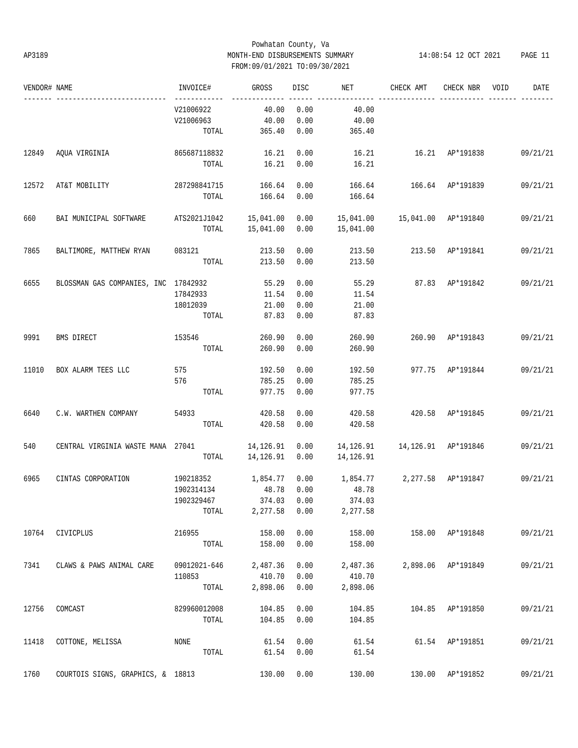### Powhatan County, Va AP3189 MONTH-END DISBURSEMENTS SUMMARY 14:08:54 12 OCT 2021 PAGE 11 FROM:09/01/2021 TO:09/30/2021

| VENDOR# NAME |                                      | INVOICE#               | GROSS         | <b>DISC</b> | NET                | CHECK AMT                           | CHECK NBR          | VOID | DATE     |
|--------------|--------------------------------------|------------------------|---------------|-------------|--------------------|-------------------------------------|--------------------|------|----------|
|              |                                      | V21006922              | 40.00         | 0.00        | 40.00              |                                     |                    |      |          |
|              |                                      | V21006963              | 40.00         | 0.00        | 40.00              |                                     |                    |      |          |
|              |                                      | TOTAL                  | 365.40        | 0.00        | 365.40             |                                     |                    |      |          |
| 12849        | AQUA VIRGINIA                        | 865687118832           | 16.21         | 0.00        | 16.21              | 16.21 AP*191838                     |                    |      | 09/21/21 |
|              |                                      | TOTAL                  | 16.21         | 0.00        | 16.21              |                                     |                    |      |          |
| 12572        | AT&T MOBILITY                        | 287298841715 166.64    |               | 0.00        |                    | 166.64 166.64 AP*191839             |                    |      | 09/21/21 |
|              |                                      | TOTAL                  | 166.64        | 0.00        | 166.64             |                                     |                    |      |          |
| 660          | BAI MUNICIPAL SOFTWARE               | ATS2021J1042 15,041.00 |               | 0.00        |                    | 15,041.00   15,041.00   AP*191840   |                    |      | 09/21/21 |
|              |                                      | TOTAL                  | 15,041.00     | 0.00        | 15,041.00          |                                     |                    |      |          |
| 7865         | BALTIMORE, MATTHEW RYAN              | 083121 213.50          |               | 0.00        | 213.50             | 213.50 AP*191841                    |                    |      | 09/21/21 |
|              |                                      | TOTAL                  | 213.50        | 0.00        | 213.50             |                                     |                    |      |          |
| 6655         | BLOSSMAN GAS COMPANIES, INC 17842932 |                        | 55.29         | 0.00        | 55.29              | 87.83 AP*191842                     |                    |      | 09/21/21 |
|              |                                      | 17842933               | 11.54         | 0.00        | 11.54              |                                     |                    |      |          |
|              |                                      | 18012039               | 21.00         | 0.00        | 21.00              |                                     |                    |      |          |
|              |                                      | TOTAL                  | 87.83         | 0.00        | 87.83              |                                     |                    |      |          |
| 9991         | BMS DIRECT                           | 153546                 | 260.90        | 0.00        | 260.90             |                                     | 260.90 AP*191843   |      | 09/21/21 |
|              |                                      | TOTAL                  | 260.90        | 0.00        | 260.90             |                                     |                    |      |          |
| 11010        | BOX ALARM TEES LLC                   | 575                    | 192.50        | 0.00        | 192.50             | 977.75 AP*191844                    |                    |      | 09/21/21 |
|              |                                      | 576                    | 785.25        | 0.00        | 785.25             |                                     |                    |      |          |
|              |                                      | TOTAL                  | 977.75        | 0.00        | 977.75             |                                     |                    |      |          |
| 6640         | C.W. WARTHEN COMPANY                 | 54933                  | 420.58        | 0.00        | 420.58             | 420.58 AP*191845                    |                    |      | 09/21/21 |
|              |                                      | TOTAL                  | 420.58        | 0.00        | 420.58             |                                     |                    |      |          |
| 540          | CENTRAL VIRGINIA WASTE MANA 27041    |                        | 14,126.91     | 0.00        |                    | 14, 126.91   14, 126.91   AP*191846 |                    |      | 09/21/21 |
|              |                                      | TOTAL                  | 14,126.91     | 0.00        | 14,126.91          |                                     |                    |      |          |
| 6965         | CINTAS CORPORATION                   | 190218352              | 1,854.77      | 0.00        | 1,854.77           |                                     | 2,277.58 AP*191847 |      | 09/21/21 |
|              |                                      | 1902314134             | 48.78         | 0.00        | 48.78              |                                     |                    |      |          |
|              |                                      | 1902329467             |               |             | 374.03 0.00 374.03 |                                     |                    |      |          |
|              |                                      | TOTAL                  | 2,277.58 0.00 |             | 2,277.58           |                                     |                    |      |          |
| 10764        | CIVICPLUS                            | 216955                 | 158.00        | 0.00        | 158.00             | 158.00 AP*191848                    |                    |      | 09/21/21 |
|              |                                      | TOTAL                  | 158.00        | 0.00        | 158.00             |                                     |                    |      |          |
| 7341         | CLAWS & PAWS ANIMAL CARE             | 09012021-646           | 2,487.36      | 0.00        | 2,487.36           |                                     | 2,898.06 AP*191849 |      | 09/21/21 |
|              |                                      | 110853                 | 410.70        | 0.00        | 410.70             |                                     |                    |      |          |
|              |                                      | TOTAL                  | 2,898.06      | 0.00        | 2,898.06           |                                     |                    |      |          |
| 12756        | COMCAST                              | 829960012008           | 104.85        | 0.00        | 104.85             |                                     | 104.85 AP*191850   |      | 09/21/21 |
|              |                                      | TOTAL                  | 104.85        | 0.00        | 104.85             |                                     |                    |      |          |
| 11418        | COTTONE, MELISSA                     | NONE                   | 61.54         | 0.00        | 61.54              |                                     | 61.54 AP*191851    |      | 09/21/21 |
|              |                                      | TOTAL                  | 61.54         | 0.00        | 61.54              |                                     |                    |      |          |
| 1760         | COURTOIS SIGNS, GRAPHICS, & 18813    |                        | 130.00        | 0.00        | 130.00             |                                     | 130.00 AP*191852   |      | 09/21/21 |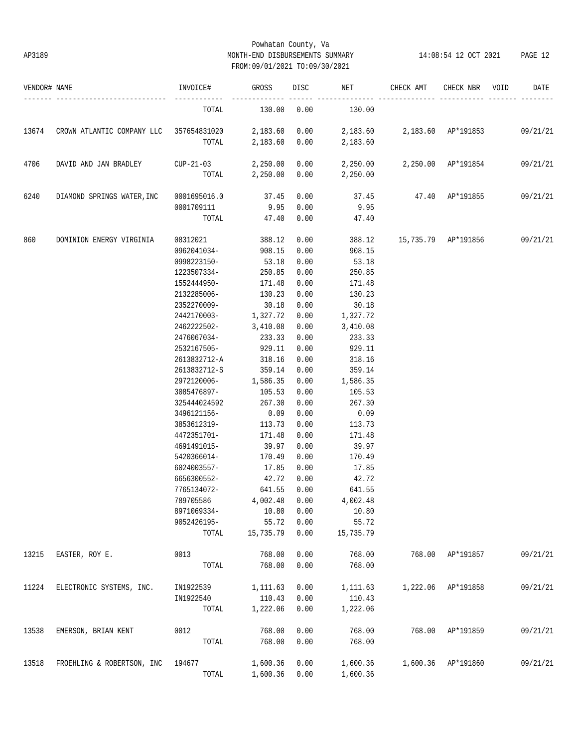### Powhatan County, Va AP3189 MONTH-END DISBURSEMENTS SUMMARY 14:08:54 12 OCT 2021 PAGE 12 FROM:09/01/2021 TO:09/30/2021

| VENDOR# NAME |                                                                                            | INVOICE#                                                       | <b>GROSS</b>           | DISC <sub>2</sub> | NET FOR THE STATE OF THE STATE OF THE STATE OF THE STATE OF THE STATE OF THE STATE OF THE STATE OF THE STATE O | CHECK AMT                                 | CHECK NBR VOID     | DATE     |
|--------------|--------------------------------------------------------------------------------------------|----------------------------------------------------------------|------------------------|-------------------|----------------------------------------------------------------------------------------------------------------|-------------------------------------------|--------------------|----------|
|              |                                                                                            | TOTAL                                                          | $130.00$ 0.00 $130.00$ |                   |                                                                                                                |                                           |                    |          |
| 13674        | CROWN ATLANTIC COMPANY LLC 357654831020 2,183.60 0.00 2,183.60 2,183.60 AP*191853 09/21/21 |                                                                |                        |                   |                                                                                                                |                                           |                    |          |
|              |                                                                                            |                                                                |                        |                   | TOTAL 2,183.60 0.00 2,183.60                                                                                   |                                           |                    |          |
| 4706         | DAVID AND JAN BRADLEY                                                                      | $CUP-21-03$ 2,250.00 0.00 2,250.00 2,250.00 AP*191854 09/21/21 |                        |                   |                                                                                                                |                                           |                    |          |
|              |                                                                                            |                                                                |                        |                   | TOTAL 2,250.00 0.00 2,250.00                                                                                   |                                           |                    |          |
| 6240         | DIAMOND SPRINGS WATER, INC 0001695016.0                                                    |                                                                | 37.45                  | 0.00              | 37.45  47.40  AP*191855  09/21/21                                                                              |                                           |                    |          |
|              |                                                                                            | 0001709111                                                     | 9.950.00               |                   | 9.95                                                                                                           |                                           |                    |          |
|              |                                                                                            | TOTAL                                                          | 47.40                  | 0.00              | 47.40                                                                                                          |                                           |                    |          |
| 860          | DOMINION ENERGY VIRGINIA                                                                   | 08312021 388.12                                                |                        | 0.00              |                                                                                                                | 388.12   15,735.79   AP*191856   09/21/21 |                    |          |
|              |                                                                                            | 0962041034-908.15                                              |                        | 0.00              | 908.15                                                                                                         |                                           |                    |          |
|              |                                                                                            | 0998223150-                                                    | 53.18                  | 0.00              | 53.18                                                                                                          |                                           |                    |          |
|              |                                                                                            | 1223507334-250.85                                              |                        | 0.00              | 250.85                                                                                                         |                                           |                    |          |
|              |                                                                                            | 1552444950-                                                    | 171.48                 | 0.00              | 171.48                                                                                                         |                                           |                    |          |
|              |                                                                                            | 2132285006-                                                    | 130.23                 | 0.00              | 130.23                                                                                                         |                                           |                    |          |
|              |                                                                                            | 2352270009-                                                    | 30.18                  | 0.00              | 30.18                                                                                                          |                                           |                    |          |
|              |                                                                                            | $2442170003 - 1,327.72$                                        |                        | 0.00              | 1,327.72                                                                                                       |                                           |                    |          |
|              |                                                                                            | 2462222502-3,410.08                                            |                        | 0.00              | 3,410.08                                                                                                       |                                           |                    |          |
|              |                                                                                            | 2476067034-233.33                                              |                        | 0.00              | 233.33                                                                                                         |                                           |                    |          |
|              |                                                                                            | 2532167505- 929.11                                             |                        | 0.00              | 929.11                                                                                                         |                                           |                    |          |
|              |                                                                                            | 2613832712-A                                                   | 318.16                 | 0.00              | 318.16                                                                                                         |                                           |                    |          |
|              |                                                                                            | 2613832712-S 359.14                                            |                        | 0.00              | 359.14                                                                                                         |                                           |                    |          |
|              |                                                                                            | 2972120006- 1,586.35                                           |                        | 0.00              | 1,586.35                                                                                                       |                                           |                    |          |
|              |                                                                                            | 3085476897- 105.53                                             |                        | 0.00              | 105.53                                                                                                         |                                           |                    |          |
|              |                                                                                            | 325444024592                                                   | 267.30                 | 0.00              | 267.30                                                                                                         |                                           |                    |          |
|              |                                                                                            | 3496121156-                                                    | 0.09                   | 0.00              | 0.09                                                                                                           |                                           |                    |          |
|              |                                                                                            | 3853612319-                                                    | 113.73                 | 0.00              | 113.73                                                                                                         |                                           |                    |          |
|              |                                                                                            | 4472351701-                                                    | 171.48                 | 0.00              | 171.48                                                                                                         |                                           |                    |          |
|              |                                                                                            | 4691491015-                                                    | 39.97                  | 0.00              | 39.97                                                                                                          |                                           |                    |          |
|              |                                                                                            | 5420366014-                                                    | 170.49                 | 0.00              | 170.49                                                                                                         |                                           |                    |          |
|              |                                                                                            | 6024003557-                                                    | 17.85                  | 0.00              | 17.85                                                                                                          |                                           |                    |          |
|              |                                                                                            | 6656300552-                                                    | 42.72                  | 0.00              | 42.72                                                                                                          |                                           |                    |          |
|              |                                                                                            | 7765134072-                                                    | 641.55                 | 0.00              | 641.55                                                                                                         |                                           |                    |          |
|              |                                                                                            | 789705586                                                      | 4,002.48 0.00          |                   | 4,002.48                                                                                                       |                                           |                    |          |
|              |                                                                                            | 8971069334-                                                    | 10.80                  | 0.00              | 10.80                                                                                                          |                                           |                    |          |
|              |                                                                                            | 9052426195-                                                    | 55.72                  | 0.00              | 55.72                                                                                                          |                                           |                    |          |
|              |                                                                                            | TOTAL                                                          | 15,735.79              | 0.00              | 15,735.79                                                                                                      |                                           |                    |          |
| 13215        | EASTER, ROY E.                                                                             | 0013                                                           | 768.00                 | 0.00              | 768.00                                                                                                         | 768.00                                    | AP*191857          | 09/21/21 |
|              |                                                                                            | TOTAL                                                          | 768.00                 | 0.00              | 768.00                                                                                                         |                                           |                    |          |
|              |                                                                                            |                                                                |                        |                   |                                                                                                                |                                           |                    |          |
| 11224        | ELECTRONIC SYSTEMS, INC.                                                                   | IN1922539                                                      | 1,111.63               | 0.00              | 1,111.63                                                                                                       | 1,222.06                                  | AP*191858          | 09/21/21 |
|              |                                                                                            | IN1922540                                                      | 110.43                 | 0.00              | 110.43                                                                                                         |                                           |                    |          |
|              |                                                                                            | TOTAL                                                          | 1,222.06               | 0.00              | 1,222.06                                                                                                       |                                           |                    |          |
| 13538        | EMERSON, BRIAN KENT                                                                        | 0012                                                           | 768.00                 | 0.00              | 768.00                                                                                                         | 768.00                                    | AP*191859          | 09/21/21 |
|              |                                                                                            | TOTAL                                                          | 768.00                 | 0.00              | 768.00                                                                                                         |                                           |                    |          |
| 13518        | FROEHLING & ROBERTSON, INC                                                                 | 194677                                                         | 1,600.36               | 0.00              | 1,600.36                                                                                                       |                                           | 1,600.36 AP*191860 | 09/21/21 |
|              |                                                                                            | TOTAL                                                          | 1,600.36               | 0.00              | 1,600.36                                                                                                       |                                           |                    |          |
|              |                                                                                            |                                                                |                        |                   |                                                                                                                |                                           |                    |          |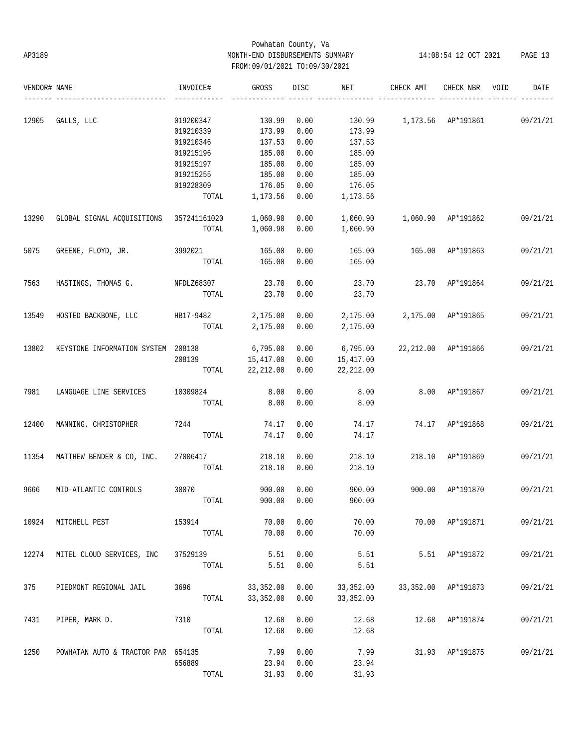# Powhatan County, Va AP3189 MONTH-END DISBURSEMENTS SUMMARY 14:08:54 12 OCT 2021 PAGE 13 FROM:09/01/2021 TO:09/30/2021

| VENDOR# NAME |                                             | INVOICE#               | GROSS              | DISC         | NET                | CHECK AMT                          | CHECK NBR           | VOID | DATE     |
|--------------|---------------------------------------------|------------------------|--------------------|--------------|--------------------|------------------------------------|---------------------|------|----------|
| 12905        | GALLS, LLC                                  | 019200347              | 130.99             | 0.00         |                    | 130.99 1,173.56 AP*191861 09/21/21 |                     |      |          |
|              |                                             | 019210339              | 173.99             | 0.00         | 173.99             |                                    |                     |      |          |
|              |                                             | 019210346              | 137.53             | 0.00         | 137.53             |                                    |                     |      |          |
|              |                                             | 019215196              | 185.00             | 0.00         | 185.00             |                                    |                     |      |          |
|              |                                             |                        |                    | 0.00         | 185.00             |                                    |                     |      |          |
|              |                                             | 019215197<br>019215255 | 185.00             | 0.00         |                    |                                    |                     |      |          |
|              |                                             |                        | 185.00             |              | 185.00             |                                    |                     |      |          |
|              |                                             | 019228309<br>TOTAL     | 176.05<br>1,173.56 | 0.00<br>0.00 | 176.05<br>1,173.56 |                                    |                     |      |          |
| 13290        | GLOBAL SIGNAL ACQUISITIONS 357241161020     |                        | 1,060.90           | 0.00         |                    |                                    |                     |      | 09/21/21 |
|              |                                             | TOTAL                  | 1,060.90           | 0.00         | 1,060.90           |                                    |                     |      |          |
| 5075         | GREENE, FLOYD, JR. 3992021 165.00           |                        |                    | 0.00         | 165.00             | 165.00 AP*191863                   |                     |      | 09/21/21 |
|              |                                             |                        | TOTAL 165.00       | 0.00         | 165.00             |                                    |                     |      |          |
| 7563         | HASTINGS, THOMAS G. NFDLZ68307              |                        | 23.70              | 0.00         | 23.70              |                                    | 23.70 AP*191864     |      | 09/21/21 |
|              |                                             | TOTAL                  | 23.70              | 0.00         | 23.70              |                                    |                     |      |          |
|              | 13549 HOSTED BACKBONE, LLC HB17-9482        |                        | 2,175.00 0.00      |              |                    | 2,175.00 2,175.00 AP*191865        |                     |      | 09/21/21 |
|              |                                             | TOTAL                  | 2,175.00 0.00      |              | 2,175.00           |                                    |                     |      |          |
| 13802        | KEYSTONE INFORMATION SYSTEM 208138 6,795.00 |                        |                    | 0.00         | 6,795.00           | 22,212.00 AP*191866                |                     |      | 09/21/21 |
|              |                                             | 208139 15,417.00       |                    | 0.00         | 15,417.00          |                                    |                     |      |          |
|              |                                             |                        | TOTAL 22, 212.00   | 0.00         | 22,212.00          |                                    |                     |      |          |
| 7981         | LANGUAGE LINE SERVICES                      | 10309824               | 8.00               | 0.00         | 8.00               |                                    | 8.00 AP*191867      |      | 09/21/21 |
|              |                                             | TOTAL                  | 8.00               | 0.00         | 8.00               |                                    |                     |      |          |
| 12400        | MANNING, CHRISTOPHER 7244                   |                        | 74.17              | 0.00         | 74.17              | 74.17 AP*191868                    |                     |      | 09/21/21 |
|              |                                             | TOTAL                  | 74.17              | 0.00         | 74.17              |                                    |                     |      |          |
| 11354        | MATTHEW BENDER & CO, INC.                   | 27006417               | 218.10             | 0.00         | 218.10             |                                    | 218.10 AP*191869    |      | 09/21/21 |
|              |                                             | TOTAL                  | 218.10             | 0.00         | 218.10             |                                    |                     |      |          |
| 9666         | MID-ATLANTIC CONTROLS                       | 30070 000              | 900.00             | 0.00         | 900.00             | 900.00 AP*191870                   |                     |      | 09/21/21 |
|              |                                             | TOTAL                  |                    | 900.00 0.00  | 900.00             |                                    |                     |      |          |
| 10924        | MITCHELL PEST                               | 153914                 | 70.00              | 0.00         | 70.00              |                                    | 70.00 AP*191871     |      | 09/21/21 |
|              |                                             | TOTAL                  | 70.00              | 0.00         | 70.00              |                                    |                     |      |          |
| 12274        | MITEL CLOUD SERVICES, INC                   | 37529139               | 5.51               | 0.00         | 5.51               |                                    | 5.51 AP*191872      |      | 09/21/21 |
|              |                                             | TOTAL                  | 5.51               | 0.00         | 5.51               |                                    |                     |      |          |
| 375          | PIEDMONT REGIONAL JAIL                      | 3696                   | 33, 352.00         | 0.00         | 33,352.00          |                                    | 33,352.00 AP*191873 |      | 09/21/21 |
|              |                                             | TOTAL                  | 33,352.00          | 0.00         | 33,352.00          |                                    |                     |      |          |
| 7431         | PIPER, MARK D.                              | 7310                   | 12.68              | 0.00         | 12.68              |                                    | 12.68 AP*191874     |      | 09/21/21 |
|              |                                             | TOTAL                  | 12.68              | 0.00         | 12.68              |                                    |                     |      |          |
| 1250         | POWHATAN AUTO & TRACTOR PAR 654135          |                        | 7.99               | 0.00         | 7.99               |                                    | 31.93 AP*191875     |      | 09/21/21 |
|              |                                             | 656889                 | 23.94              | 0.00         | 23.94              |                                    |                     |      |          |
|              |                                             | TOTAL                  | 31.93              | 0.00         | 31.93              |                                    |                     |      |          |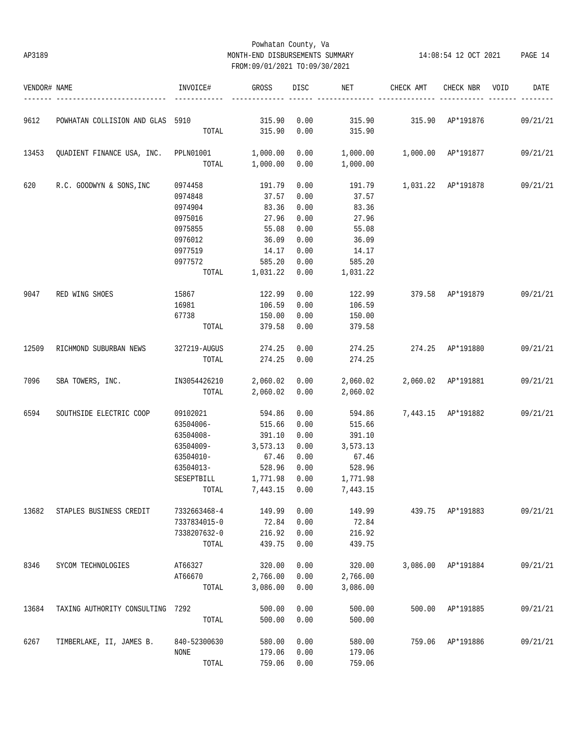### Powhatan County, Va AP3189 MONTH-END DISBURSEMENTS SUMMARY 14:08:54 12 OCT 2021 PAGE 14 FROM:09/01/2021 TO:09/30/2021

| VENDOR# NAME |                                        | INVOICE#            | GROSS          | DISC | NET      | CHECK AMT                                  | CHECK NBR          | VOID | DATE     |
|--------------|----------------------------------------|---------------------|----------------|------|----------|--------------------------------------------|--------------------|------|----------|
| 9612         | POWHATAN COLLISION AND GLAS 5910       |                     | 315.90         | 0.00 |          | 315.90 315.90 AP*191876                    |                    |      | 09/21/21 |
|              |                                        |                     | TOTAL 315.90   | 0.00 | 315.90   |                                            |                    |      |          |
| 13453        | QUADIENT FINANCE USA, INC. PPLN01001   |                     | 1,000.00       | 0.00 |          | 1,000.00   1,000.00   AP*191877   09/21/21 |                    |      |          |
|              |                                        | TOTAL               | 1,000.00       | 0.00 | 1,000.00 |                                            |                    |      |          |
| 620          | R.C. GOODWYN & SONS, INC               | 0974458 191.79      |                | 0.00 |          | 191.79   1,031.22   AP*191878   09/21/21   |                    |      |          |
|              |                                        | 0974848             | 37.57          | 0.00 | 37.57    |                                            |                    |      |          |
|              |                                        | 0974904             | 83.36          | 0.00 | 83.36    |                                            |                    |      |          |
|              |                                        | 0975016             | 27.96          | 0.00 | 27.96    |                                            |                    |      |          |
|              |                                        | 0975855             | 55.08          | 0.00 | 55.08    |                                            |                    |      |          |
|              |                                        | 0976012             | 36.09          | 0.00 | 36.09    |                                            |                    |      |          |
|              |                                        | 0977519             | 14.17          | 0.00 | 14.17    |                                            |                    |      |          |
|              |                                        | 0977572             | 585.20         | 0.00 | 585.20   |                                            |                    |      |          |
|              |                                        |                     | TOTAL 1,031.22 | 0.00 | 1,031.22 |                                            |                    |      |          |
| 9047         | RED WING SHOES                         | 15867               | 122.99         | 0.00 | 122.99   | 379.58 AP*191879 09/21/21                  |                    |      |          |
|              |                                        | 16981               | 106.59         | 0.00 | 106.59   |                                            |                    |      |          |
|              |                                        | 67738               | 150.00         | 0.00 | 150.00   |                                            |                    |      |          |
|              |                                        |                     | TOTAL 379.58   | 0.00 | 379.58   |                                            |                    |      |          |
| 12509        | RICHMOND SUBURBAN NEWS                 | 327219-AUGUS        | 274.25         | 0.00 |          | 274.25 274.25 AP*191880                    |                    |      | 09/21/21 |
|              |                                        | TOTAL               | 274.25         | 0.00 | 274.25   |                                            |                    |      |          |
| 7096         | SBA TOWERS, INC. 1N3054426210 2,060.02 |                     |                | 0.00 |          | 2,060.02 2,060.02 AP*191881                |                    |      | 09/21/21 |
|              |                                        |                     | TOTAL 2,060.02 | 0.00 | 2,060.02 |                                            |                    |      |          |
| 6594         | SOUTHSIDE ELECTRIC COOP                | 09102021            | 594.86         | 0.00 | 594.86   |                                            | 7,443.15 AP*191882 |      | 09/21/21 |
|              |                                        | 63504006-           | 515.66         | 0.00 | 515.66   |                                            |                    |      |          |
|              |                                        | 63504008-           | 391.10         | 0.00 | 391.10   |                                            |                    |      |          |
|              |                                        | 63504009-           | 3,573.13       | 0.00 | 3,573.13 |                                            |                    |      |          |
|              |                                        | 63504010-           | 67.46          | 0.00 | 67.46    |                                            |                    |      |          |
|              |                                        | 63504013-           | 528.96         | 0.00 | 528.96   |                                            |                    |      |          |
|              |                                        | SESEPTBILL 1,771.98 |                | 0.00 | 1,771.98 |                                            |                    |      |          |
|              |                                        |                     | TOTAL 7,443.15 | 0.00 | 7,443.15 |                                            |                    |      |          |
| 13682        | STAPLES BUSINESS CREDIT                | 7332663468-4        | 149.99         | 0.00 | 149.99   | 439.75                                     | AP*191883          |      | 09/21/21 |
|              |                                        | 7337834015-0        | 72.84          | 0.00 | 72.84    |                                            |                    |      |          |
|              |                                        | 7338207632-0        | 216.92         | 0.00 | 216.92   |                                            |                    |      |          |
|              |                                        | TOTAL               | 439.75         | 0.00 | 439.75   |                                            |                    |      |          |
| 8346         | SYCOM TECHNOLOGIES                     | AT66327             | 320.00         | 0.00 | 320.00   | 3,086.00                                   | AP*191884          |      | 09/21/21 |
|              |                                        | AT66670             | 2,766.00       | 0.00 | 2,766.00 |                                            |                    |      |          |
|              |                                        | TOTAL               | 3,086.00       | 0.00 | 3,086.00 |                                            |                    |      |          |
| 13684        | TAXING AUTHORITY CONSULTING 7292       |                     | 500.00         | 0.00 | 500.00   | 500.00                                     | AP*191885          |      | 09/21/21 |
|              |                                        | TOTAL               | 500.00         | 0.00 | 500.00   |                                            |                    |      |          |
| 6267         | TIMBERLAKE, II, JAMES B.               | 840-52300630        | 580.00         | 0.00 | 580.00   | 759.06                                     | AP*191886          |      | 09/21/21 |
|              |                                        | NONE                | 179.06         | 0.00 | 179.06   |                                            |                    |      |          |
|              |                                        | $\tt TOTAL$         | 759.06         | 0.00 | 759.06   |                                            |                    |      |          |
|              |                                        |                     |                |      |          |                                            |                    |      |          |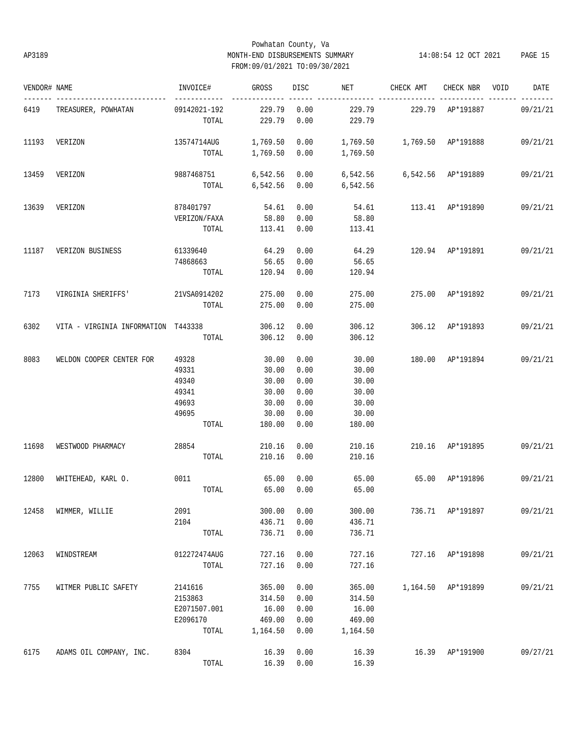### Powhatan County, Va AP3189 MONTH-END DISBURSEMENTS SUMMARY 14:08:54 12 OCT 2021 PAGE 15 FROM:09/01/2021 TO:09/30/2021

| VENDOR# NAME |                                     | INVOICE#                                                    | GROSS                                                        | DISC                                                 | NET                                                               | CHECK AMT                       | CHECK NBR VOID     | DATE     |
|--------------|-------------------------------------|-------------------------------------------------------------|--------------------------------------------------------------|------------------------------------------------------|-------------------------------------------------------------------|---------------------------------|--------------------|----------|
| 6419         | TREASURER, POWHATAN                 | -------------<br>09142021-192<br>TOTAL                      | 229.79 0.00<br>229.79                                        | 0.00                                                 | 229.79<br>229.79                                                  | 229.79 AP*191887                |                    | 09/21/21 |
| 11193        | VERIZON                             | 13574714AUG    1,769.50    0.00                             |                                                              |                                                      | 1,769.50    1,769.50    AP*191888<br>TOTAL 1,769.50 0.00 1,769.50 |                                 |                    | 09/21/21 |
| 13459        | VERIZON                             | 9887468751 6,542.56 0.00                                    |                                                              |                                                      | 6,542.56    6,542.56    AP*191889                                 |                                 |                    | 09/21/21 |
| 13639        | VERIZON                             | 878401797                                                   | 54.61 0.00                                                   |                                                      | TOTAL 6,542.56 0.00 6,542.56                                      | 54.61 113.41 AP*191890          |                    | 09/21/21 |
|              |                                     | VERIZON/FAXA<br>TOTAL                                       | 58.80<br>113.41 0.00                                         | 0.00                                                 | 58.80<br>113.41                                                   |                                 |                    |          |
| 11187        | VERIZON BUSINESS                    | 61339640<br>74868663<br>TOTAL                               | 64.29<br>56.65<br>120.94 0.00                                | 0.00<br>0.00                                         | 56.65<br>120.94                                                   | 64.29 120.94 AP*191891 09/21/21 |                    |          |
| 7173         | VIRGINIA SHERIFFS' 21VSA0914202     | TOTAL                                                       | 275.00<br>275.00                                             | 0.00<br>0.00                                         | 275.00<br>275.00                                                  | 275.00 AP*191892 09/21/21       |                    |          |
| 6302         | VITA - VIRGINIA INFORMATION T443338 | TOTAL                                                       | 306.12<br>306.12                                             | 0.00<br>0.00                                         | 306.12<br>306.12                                                  | 306.12 AP*191893                |                    | 09/21/21 |
| 8083         | WELDON COOPER CENTER FOR            | 49328<br>49331<br>49340<br>49341<br>49693<br>49695<br>TOTAL | 30.00<br>30.00<br>30.00<br>30.00<br>30.00<br>30.00<br>180.00 | 0.00<br>0.00<br>0.00<br>0.00<br>0.00<br>0.00<br>0.00 | 30.00<br>30.00<br>30.00<br>30.00<br>30.00<br>30.00<br>180.00      | 180.00 AP*191894 09/21/21       |                    |          |
| 11698        | WESTWOOD PHARMACY                   | 28854<br>TOTAL                                              | 210.16 0.00<br>210.16                                        | 0.00                                                 | 210.16<br>210.16                                                  | 210.16 AP*191895                |                    | 09/21/21 |
| 12800        | WHITEHEAD, KARL O. 0011             | TOTAL                                                       | 65.00<br>65.00                                               | 0.00<br>0.00                                         | 65.00<br>65.00                                                    | 65.00 AP*191896                 |                    | 09/21/21 |
| 12458        | WIMMER, WILLIE                      | 2091<br>2104<br>TOTAL                                       | 300.00<br>436.71<br>736.71                                   | 0.00<br>0.00<br>0.00                                 | 300.00<br>436.71<br>736.71                                        |                                 | 736.71 AP*191897   | 09/21/21 |
| 12063        | WINDSTREAM                          | 012272474AUG<br>TOTAL                                       | 727.16<br>727.16                                             | 0.00<br>0.00                                         | 727.16<br>727.16                                                  |                                 | 727.16 AP*191898   | 09/21/21 |
| 7755         | WITMER PUBLIC SAFETY                | 2141616<br>2153863<br>E2071507.001<br>E2096170<br>TOTAL     | 365.00<br>314.50<br>16.00<br>469.00<br>1,164.50              | 0.00<br>0.00<br>0.00<br>0.00<br>0.00                 | 365.00<br>314.50<br>16.00<br>469.00<br>1,164.50                   |                                 | 1,164.50 AP*191899 | 09/21/21 |
| 6175         | ADAMS OIL COMPANY, INC.             | 8304<br>TOTAL                                               | 16.39<br>16.39                                               | 0.00<br>0.00                                         | 16.39<br>16.39                                                    | 16.39                           | AP*191900          | 09/27/21 |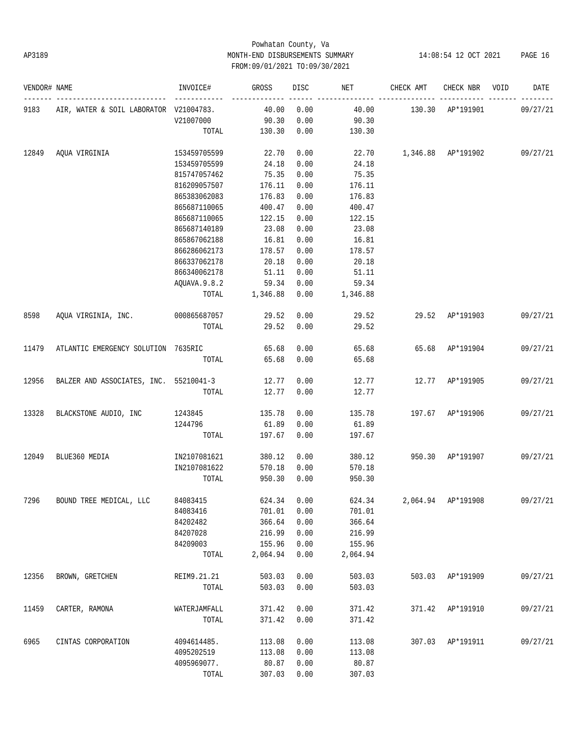### Powhatan County, Va AP3189 MONTH-END DISBURSEMENTS SUMMARY 14:08:54 12 OCT 2021 PAGE 16 FROM:09/01/2021 TO:09/30/2021

| VENDOR# NAME |                                        | INVOICE#     | GROSS    | DISC | NET      | CHECK AMT                | CHECK NBR          | VOID | DATE     |
|--------------|----------------------------------------|--------------|----------|------|----------|--------------------------|--------------------|------|----------|
| 9183         | AIR, WATER & SOIL LABORATOR V21004783. |              | 40.00    | 0.00 | 40.00    |                          | 130.30 AP*191901   |      | 09/27/21 |
|              |                                        | V21007000    | 90.30    | 0.00 | 90.30    |                          |                    |      |          |
|              |                                        | TOTAL        | 130.30   | 0.00 | 130.30   |                          |                    |      |          |
| 12849        | AQUA VIRGINIA                          | 153459705599 | 22.70    | 0.00 |          | 22.70 1,346.88 AP*191902 |                    |      | 09/27/21 |
|              |                                        | 153459705599 | 24.18    | 0.00 | 24.18    |                          |                    |      |          |
|              |                                        | 815747057462 | 75.35    | 0.00 | 75.35    |                          |                    |      |          |
|              |                                        | 816209057507 | 176.11   | 0.00 | 176.11   |                          |                    |      |          |
|              |                                        | 865383062083 | 176.83   | 0.00 | 176.83   |                          |                    |      |          |
|              |                                        | 865687110065 | 400.47   | 0.00 | 400.47   |                          |                    |      |          |
|              |                                        | 865687110065 | 122.15   | 0.00 | 122.15   |                          |                    |      |          |
|              |                                        | 865687140189 | 23.08    | 0.00 | 23.08    |                          |                    |      |          |
|              |                                        | 865867062188 | 16.81    | 0.00 | 16.81    |                          |                    |      |          |
|              |                                        | 866286062173 | 178.57   | 0.00 | 178.57   |                          |                    |      |          |
|              |                                        | 866337062178 | 20.18    | 0.00 | 20.18    |                          |                    |      |          |
|              |                                        | 866340062178 | 51.11    | 0.00 | 51.11    |                          |                    |      |          |
|              |                                        | AQUAVA.9.8.2 | 59.34    |      | 59.34    |                          |                    |      |          |
|              |                                        |              | 1,346.88 | 0.00 |          |                          |                    |      |          |
|              |                                        | TOTAL        |          | 0.00 | 1,346.88 |                          |                    |      |          |
| 8598         | AQUA VIRGINIA, INC. 000865687057       |              | 29.52    | 0.00 | 29.52    | 29.52                    | AP*191903          |      | 09/27/21 |
|              |                                        | TOTAL        | 29.52    | 0.00 | 29.52    |                          |                    |      |          |
| 11479        | ATLANTIC EMERGENCY SOLUTION 7635RIC    |              | 65.68    | 0.00 | 65.68    |                          | 65.68 AP*191904    |      | 09/27/21 |
|              |                                        | TOTAL        | 65.68    | 0.00 | 65.68    |                          |                    |      |          |
| 12956        | BALZER AND ASSOCIATES, INC. 55210041-3 |              | 12.77    | 0.00 | 12.77    | 12.77                    | AP*191905          |      | 09/27/21 |
|              |                                        | TOTAL        | 12.77    | 0.00 | 12.77    |                          |                    |      |          |
| 13328        | BLACKSTONE AUDIO, INC                  | 1243845      | 135.78   | 0.00 | 135.78   |                          | 197.67 AP*191906   |      | 09/27/21 |
|              |                                        | 1244796      | 61.89    | 0.00 | 61.89    |                          |                    |      |          |
|              |                                        | TOTAL        | 197.67   | 0.00 | 197.67   |                          |                    |      |          |
|              |                                        |              |          |      |          |                          |                    |      |          |
| 12049        | BLUE360 MEDIA                          | IN2107081621 | 380.12   | 0.00 | 380.12   | 950.30                   | AP*191907          |      | 09/27/21 |
|              |                                        | IN2107081622 | 570.18   | 0.00 | 570.18   |                          |                    |      |          |
|              |                                        | TOTAL        | 950.30   | 0.00 | 950.30   |                          |                    |      |          |
| 7296         | BOUND TREE MEDICAL, LLC                | 84083415     | 624.34   | 0.00 | 624.34   |                          | 2,064.94 AP*191908 |      | 09/27/21 |
|              |                                        | 84083416     | 701.01   | 0.00 | 701.01   |                          |                    |      |          |
|              |                                        | 84202482     | 366.64   | 0.00 | 366.64   |                          |                    |      |          |
|              |                                        | 84207028     | 216.99   | 0.00 | 216.99   |                          |                    |      |          |
|              |                                        | 84209003     | 155.96   | 0.00 | 155.96   |                          |                    |      |          |
|              |                                        | TOTAL        | 2,064.94 | 0.00 | 2,064.94 |                          |                    |      |          |
| 12356        | BROWN, GRETCHEN                        | REIM9.21.21  | 503.03   | 0.00 | 503.03   | 503.03                   | AP*191909          |      | 09/27/21 |
|              |                                        | TOTAL        | 503.03   | 0.00 | 503.03   |                          |                    |      |          |
| 11459        | CARTER, RAMONA                         | WATERJAMFALL | 371.42   | 0.00 | 371.42   | 371.42                   | AP*191910          |      | 09/27/21 |
|              |                                        | TOTAL        | 371.42   | 0.00 | 371.42   |                          |                    |      |          |
| 6965         | CINTAS CORPORATION                     | 4094614485.  | 113.08   | 0.00 | 113.08   | 307.03                   | AP*191911          |      | 09/27/21 |
|              |                                        | 4095202519   | 113.08   | 0.00 | 113.08   |                          |                    |      |          |
|              |                                        |              |          |      |          |                          |                    |      |          |
|              |                                        | 4095969077.  | 80.87    | 0.00 | 80.87    |                          |                    |      |          |
|              |                                        | TOTAL        | 307.03   | 0.00 | 307.03   |                          |                    |      |          |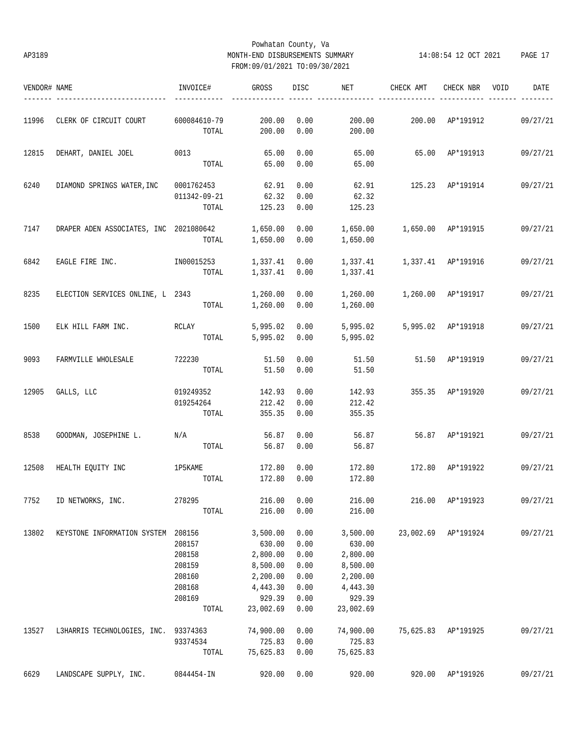### Powhatan County, Va AP3189 MONTH-END DISBURSEMENTS SUMMARY 14:08:54 12 OCT 2021 PAGE 17 FROM:09/01/2021 TO:09/30/2021

| VENDOR# NAME |                                        | INVOICE#     | GROSS     | DISC        | NET       | CHECK AMT                           | CHECK NBR          | VOID | DATE     |
|--------------|----------------------------------------|--------------|-----------|-------------|-----------|-------------------------------------|--------------------|------|----------|
|              | 11996 CLERK OF CIRCUIT COURT           | 600084610-79 | 200.00    | 0.00        | 200.00    |                                     | 200.00 AP*191912   |      | 09/27/21 |
|              |                                        | TOTAL        | 200.00    | 0.00        | 200.00    |                                     |                    |      |          |
| 12815        | DEHART, DANIEL JOEL                    | 0013         | 65.00     | 0.00        | 65.00     | 65.00 AP*191913                     |                    |      | 09/27/21 |
|              |                                        | TOTAL        | 65.00     | 0.00        | 65.00     |                                     |                    |      |          |
| 6240         | DIAMOND SPRINGS WATER, INC             | 0001762453   | 62.91     | 0.00        | 62.91     |                                     | 125.23 AP*191914   |      | 09/27/21 |
|              |                                        | 011342-09-21 | 62.32     | 0.00        | 62.32     |                                     |                    |      |          |
|              |                                        | TOTAL        | 125.23    | 0.00        | 125.23    |                                     |                    |      |          |
| 7147         | DRAPER ADEN ASSOCIATES, INC 2021080642 |              | 1,650.00  | 0.00        |           | 1,650.00    1,650.00    AP*191915   |                    |      | 09/27/21 |
|              |                                        | TOTAL        | 1,650.00  | 0.00        | 1,650.00  |                                     |                    |      |          |
| 6842         | EAGLE FIRE INC. IN00015253             |              | 1,337.41  | 0.00        |           |                                     |                    |      | 09/27/21 |
|              |                                        | TOTAL        | 1,337.41  | 0.00        | 1,337.41  |                                     |                    |      |          |
|              |                                        |              |           |             |           |                                     |                    |      |          |
| 8235         | ELECTION SERVICES ONLINE, L 2343       |              | 1,260.00  | 0.00        | 1,260.00  | 1,260.00 AP*191917                  |                    |      | 09/27/21 |
|              |                                        | TOTAL        | 1,260.00  | 0.00        | 1,260.00  |                                     |                    |      |          |
| 1500         | ELK HILL FARM INC.                     | RCLAY        | 5,995.02  | 0.00        | 5,995.02  |                                     | 5,995.02 AP*191918 |      | 09/27/21 |
|              |                                        | TOTAL        | 5,995.02  | 0.00        | 5,995.02  |                                     |                    |      |          |
| 9093         | FARMVILLE WHOLESALE                    | 722230       | 51.50     | 0.00        | 51.50     |                                     | 51.50 AP*191919    |      | 09/27/21 |
|              |                                        | TOTAL        | 51.50     | 0.00        | 51.50     |                                     |                    |      |          |
| 12905        | GALLS, LLC                             | 019249352    | 142.93    | 0.00        | 142.93    |                                     | 355.35 AP*191920   |      | 09/27/21 |
|              |                                        | 019254264    | 212.42    | 0.00        | 212.42    |                                     |                    |      |          |
|              |                                        | TOTAL        | 355.35    | 0.00        | 355.35    |                                     |                    |      |          |
| 8538         | GOODMAN, JOSEPHINE L. N/A              |              | 56.87     | 0.00        | 56.87     |                                     | 56.87 AP*191921    |      | 09/27/21 |
|              |                                        | TOTAL        | 56.87     | 0.00        | 56.87     |                                     |                    |      |          |
|              |                                        |              |           |             |           |                                     |                    |      |          |
| 12508        | HEALTH EQUITY INC                      | 1P5KAME      | 172.80    | 0.00        | 172.80    | 172.80 AP*191922                    |                    |      | 09/27/21 |
|              |                                        | TOTAL        | 172.80    | 0.00        | 172.80    |                                     |                    |      |          |
|              | 7752 ID NETWORKS, INC.                 | 278295       |           | 216.00 0.00 |           | 216.00  216.00  AP*191923  09/27/21 |                    |      |          |
|              |                                        | TOTAL        | 216.00    | 0.00        | 216.00    |                                     |                    |      |          |
| 13802        | KEYSTONE INFORMATION SYSTEM 208156     |              | 3,500.00  | 0.00        | 3,500.00  | 23,002.69                           | AP*191924          |      | 09/27/21 |
|              |                                        | 208157       | 630.00    | 0.00        | 630.00    |                                     |                    |      |          |
|              |                                        | 208158       | 2,800.00  | 0.00        | 2,800.00  |                                     |                    |      |          |
|              |                                        | 208159       | 8,500.00  | 0.00        | 8,500.00  |                                     |                    |      |          |
|              |                                        | 208160       | 2,200.00  | 0.00        | 2,200.00  |                                     |                    |      |          |
|              |                                        | 208168       | 4,443.30  | 0.00        | 4,443.30  |                                     |                    |      |          |
|              |                                        | 208169       | 929.39    | 0.00        | 929.39    |                                     |                    |      |          |
|              |                                        | TOTAL        | 23,002.69 | 0.00        | 23,002.69 |                                     |                    |      |          |
| 13527        | L3HARRIS TECHNOLOGIES, INC.            | 93374363     | 74,900.00 | 0.00        | 74,900.00 | 75,625.83                           | AP*191925          |      | 09/27/21 |
|              |                                        | 93374534     | 725.83    | 0.00        | 725.83    |                                     |                    |      |          |
|              |                                        | TOTAL        | 75,625.83 | 0.00        | 75,625.83 |                                     |                    |      |          |
|              |                                        |              |           |             |           |                                     |                    |      |          |
| 6629         | LANDSCAPE SUPPLY, INC.                 | 0844454-IN   | 920.00    | 0.00        | 920.00    | 920.00                              | AP*191926          |      | 09/27/21 |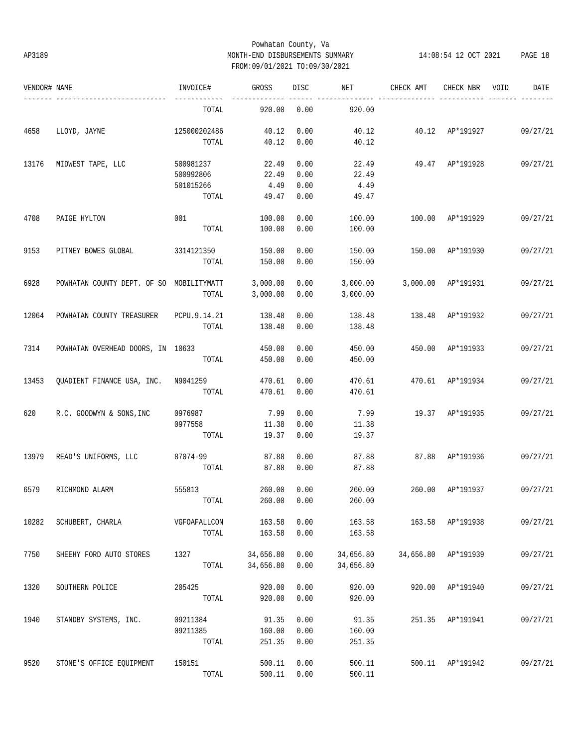### Powhatan County, Va AP3189 MONTH-END DISBURSEMENTS SUMMARY 14:08:54 12 OCT 2021 PAGE 18 FROM:09/01/2021 TO:09/30/2021

| VENDOR# NAME |                                          | INVOICE#        | GROSS            | DISC         | NET              | CHECK AMT | CHECK NBR           | VOID | DATE     |
|--------------|------------------------------------------|-----------------|------------------|--------------|------------------|-----------|---------------------|------|----------|
|              |                                          | TOTAL           | 920.00           | 0.00         | 920.00           |           |                     |      |          |
| 4658         | LLOYD, JAYNE                             | 125000202486    | 40.12            | 0.00         | 40.12            |           | 40.12 AP*191927     |      | 09/27/21 |
|              |                                          | TOTAL           | 40.12            | 0.00         | 40.12            |           |                     |      |          |
| 13176        | MIDWEST TAPE, LLC                        | 500981237       | 22.49            | 0.00         | 22.49            | 49.47     | AP*191928           |      | 09/27/21 |
|              |                                          | 500992806       | 22.49            | 0.00         | 22.49            |           |                     |      |          |
|              |                                          | 501015266       | 4.49             | 0.00         | 4.49             |           |                     |      |          |
|              |                                          | TOTAL           | 49.47            | 0.00         | 49.47            |           |                     |      |          |
| 4708         | PAIGE HYLTON                             | 001             | 100.00           | 0.00         | 100.00           | 100.00    | AP*191929           |      | 09/27/21 |
|              |                                          | TOTAL           | 100.00           | 0.00         | 100.00           |           |                     |      |          |
| 9153         | PITNEY BOWES GLOBAL                      | 3314121350      | 150.00           | 0.00         | 150.00           | 150.00    | AP*191930           |      | 09/27/21 |
|              |                                          | TOTAL           | 150.00           | 0.00         | 150.00           |           |                     |      |          |
| 6928         | POWHATAN COUNTY DEPT. OF SO MOBILITYMATT |                 | 3,000.00         | 0.00         | 3,000.00         |           | 3,000.00 AP*191931  |      | 09/27/21 |
|              |                                          | TOTAL           | 3,000.00         | 0.00         | 3,000.00         |           |                     |      |          |
| 12064        | POWHATAN COUNTY TREASURER                | PCPU.9.14.21    | 138.48           | 0.00         | 138.48           | 138.48    | AP*191932           |      | 09/27/21 |
|              |                                          | TOTAL           | 138.48           | 0.00         | 138.48           |           |                     |      |          |
|              |                                          |                 |                  |              |                  |           |                     |      |          |
| 7314         | POWHATAN OVERHEAD DOORS, IN 10633        |                 | 450.00           | 0.00         | 450.00           | 450.00    | AP*191933           |      | 09/27/21 |
|              |                                          | TOTAL           | 450.00           | 0.00         | 450.00           |           |                     |      |          |
| 13453        | QUADIENT FINANCE USA, INC. N9041259      |                 | 470.61           | 0.00         | 470.61           |           | 470.61 AP*191934    |      | 09/27/21 |
|              |                                          | TOTAL           | 470.61           | 0.00         | 470.61           |           |                     |      |          |
| 620          | R.C. GOODWYN & SONS, INC                 | 0976987         | 7.99             | 0.00         | 7.99             |           | 19.37 AP*191935     |      | 09/27/21 |
|              |                                          | 0977558         | 11.38            | 0.00         | 11.38            |           |                     |      |          |
|              |                                          | TOTAL           | 19.37            | 0.00         | 19.37            |           |                     |      |          |
| 13979        | READ'S UNIFORMS, LLC                     | 87074-99        | 87.88            | 0.00         | 87.88            | 87.88     | AP*191936           |      | 09/27/21 |
|              |                                          | TOTAL           | 87.88            | 0.00         | 87.88            |           |                     |      |          |
| 6579         | RICHMOND ALARM                           | 555813          | 260.00           | 0.00         | 260.00           | 260.00    | AP*191937           |      | 09/27/21 |
|              |                                          | TOTAL           | 260.00           | 0.00         | 260.00           |           |                     |      |          |
|              |                                          |                 |                  |              |                  |           |                     |      |          |
| 10282        | SCHUBERT, CHARLA                         | VGFOAFALLCON    | 163.58           | 0.00         | 163.58           |           | 163.58 AP*191938    |      | 09/27/21 |
|              |                                          | TOTAL           | 163.58           | 0.00         | 163.58           |           |                     |      |          |
| 7750         | SHEEHY FORD AUTO STORES                  | 1327            | 34,656.80        | 0.00         | 34,656.80        |           | 34,656.80 AP*191939 |      | 09/27/21 |
|              |                                          | TOTAL           | 34,656.80        | 0.00         | 34,656.80        |           |                     |      |          |
| 1320         | SOUTHERN POLICE                          | 205425          | 920.00           | 0.00         | 920.00           | 920.00    | AP*191940           |      | 09/27/21 |
|              |                                          | TOTAL           | 920.00           | 0.00         | 920.00           |           |                     |      |          |
| 1940         | STANDBY SYSTEMS, INC.                    | 09211384        | 91.35            | 0.00         | 91.35            |           | 251.35 AP*191941    |      | 09/27/21 |
|              |                                          | 09211385        | 160.00           | 0.00         | 160.00           |           |                     |      |          |
|              |                                          | TOTAL           | 251.35           | 0.00         | 251.35           |           |                     |      |          |
|              |                                          |                 |                  |              |                  |           |                     |      |          |
| 9520         | STONE'S OFFICE EQUIPMENT                 | 150151<br>TOTAL | 500.11<br>500.11 | 0.00<br>0.00 | 500.11<br>500.11 |           | 500.11 AP*191942    |      | 09/27/21 |
|              |                                          |                 |                  |              |                  |           |                     |      |          |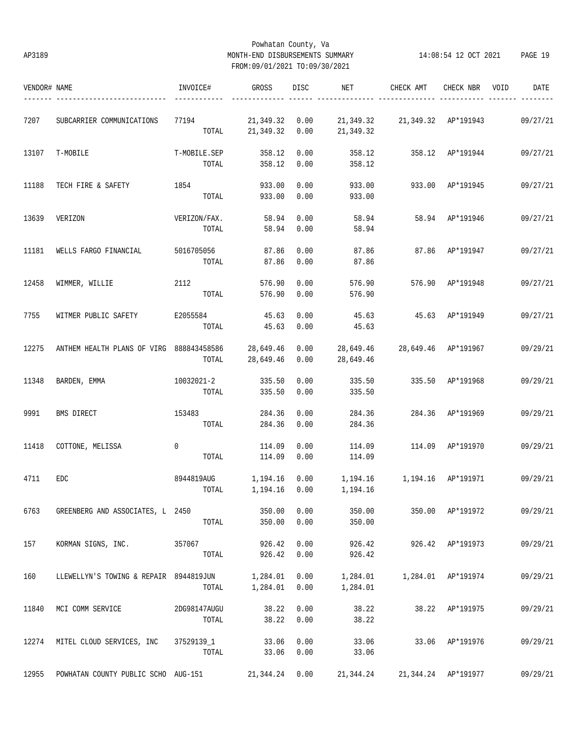### Powhatan County, Va AP3189 MONTH-END DISBURSEMENTS SUMMARY 14:08:54 12 OCT 2021 PAGE 19 FROM:09/01/2021 TO:09/30/2021

| VENDOR# NAME |                                                         | INVOICE#          | GROSS          | DISC | NET                                           | CHECK AMT                       | CHECK NBR           | VOID<br>DATE |
|--------------|---------------------------------------------------------|-------------------|----------------|------|-----------------------------------------------|---------------------------------|---------------------|--------------|
| 7207         | SUBCARRIER COMMUNICATIONS                               | 77194             | 21,349.32 0.00 |      |                                               | 21,349.32 21,349.32 AP*191943   |                     | 09/27/21     |
|              |                                                         |                   |                |      | TOTAL 21,349.32 0.00 21,349.32                |                                 |                     |              |
| 13107        | T-MOBILE                                                | T-MOBILE.SEP      | 358.12         | 0.00 | 358.12                                        | 358.12 AP*191944                |                     | 09/27/21     |
|              |                                                         | TOTAL             | 358.12         | 0.00 | 358.12                                        |                                 |                     |              |
| 11188        | TECH FIRE & SAFETY                                      | 1854              | 933.00         | 0.00 | 933.00                                        | 933.00 AP*191945                |                     | 09/27/21     |
|              |                                                         | TOTAL             | 933.00         | 0.00 | 933.00                                        |                                 |                     |              |
| 13639        | VERIZON                                                 | VERIZON/FAX.      | 58.94          | 0.00 | 58.94                                         |                                 | 58.94 AP*191946     | 09/27/21     |
|              |                                                         | TOTAL             | 58.94          | 0.00 | 58.94                                         |                                 |                     |              |
| 11181        | WELLS FARGO FINANCIAL                                   | 5016705056        | 87.86          | 0.00 | 87.86                                         | 87.86 AP*191947                 |                     | 09/27/21     |
|              |                                                         | TOTAL             | 87.86          | 0.00 | 87.86                                         |                                 |                     |              |
| 12458        | WIMMER, WILLIE                                          | 2112              | 576.90         | 0.00 | 576.90                                        |                                 | 576.90 AP*191948    | 09/27/21     |
|              |                                                         | TOTAL             | 576.90         | 0.00 | 576.90                                        |                                 |                     |              |
| 7755         | WITMER PUBLIC SAFETY E2055584                           |                   | 45.63          | 0.00 | 45.63                                         | 45.63 AP*191949                 |                     | 09/27/21     |
|              |                                                         | TOTAL             | 45.63          | 0.00 | 45.63                                         |                                 |                     |              |
| 12275        | ANTHEM HEALTH PLANS OF VIRG 888843458586 28,649.46 0.00 |                   |                |      | 28,649.46                                     |                                 | 28,649.46 AP*191967 | 09/29/21     |
|              |                                                         | TOTAL             | 28,649.46 0.00 |      | 28,649.46                                     |                                 |                     |              |
| 11348        | BARDEN, EMMA                                            | 10032021-2 335.50 |                | 0.00 | 335.50                                        | 335.50 AP*191968                |                     | 09/29/21     |
|              |                                                         | TOTAL             | 335.50         | 0.00 | 335.50                                        |                                 |                     |              |
| 9991         | BMS DIRECT                                              | 153483            | 284.36         | 0.00 | 284.36                                        | 284.36 AP*191969                |                     | 09/29/21     |
|              |                                                         | TOTAL             | 284.36         | 0.00 | 284.36                                        |                                 |                     |              |
| 11418        | COTTONE, MELISSA                                        | $\mathbf 0$       | 114.09         | 0.00 | 114.09                                        | 114.09 AP*191970                |                     | 09/29/21     |
|              |                                                         | TOTAL             | 114.09         | 0.00 | 114.09                                        |                                 |                     |              |
| 4711         | <b>EDC</b>                                              | 8944819AUG        |                |      | 1,194.16  0.00  1,194.16  1,194.16  AP*191971 |                                 |                     | 09/29/21     |
|              |                                                         | TOTAL             | 1,194.16 0.00  |      | 1,194.16                                      |                                 |                     |              |
| 6763         | GREENBERG AND ASSOCIATES, L 2450                        |                   | 350.00         | 0.00 | 350.00                                        |                                 | 350.00 AP*191972    | 09/29/21     |
|              |                                                         | TOTAL             | 350.00         | 0.00 | 350.00                                        |                                 |                     |              |
| 157          | KORMAN SIGNS, INC.                                      | 357067            | 926.42         | 0.00 | 926.42                                        |                                 | 926.42 AP*191973    | 09/29/21     |
|              |                                                         | TOTAL             | 926.42         | 0.00 | 926.42                                        |                                 |                     |              |
| 160          | LLEWELLYN'S TOWING & REPAIR 8944819JUN                  |                   | 1,284.01       | 0.00 |                                               | 1,284.01   1,284.01   AP*191974 |                     | 09/29/21     |
|              |                                                         | TOTAL             | 1,284.01       | 0.00 | 1,284.01                                      |                                 |                     |              |
| 11840        | MCI COMM SERVICE                                        | 2DG98147AUGU      | 38.22          | 0.00 | 38.22                                         |                                 | 38.22 AP*191975     | 09/29/21     |
|              |                                                         | TOTAL             | 38.22          | 0.00 | 38.22                                         |                                 |                     |              |
| 12274        | MITEL CLOUD SERVICES, INC                               | 37529139_1        | 33.06          | 0.00 | 33.06                                         |                                 | 33.06 AP*191976     | 09/29/21     |
|              |                                                         | TOTAL             | 33.06          | 0.00 | 33.06                                         |                                 |                     |              |
| 12955        | POWHATAN COUNTY PUBLIC SCHO AUG-151                     |                   | 21,344.24      | 0.00 | 21,344.24                                     |                                 | 21,344.24 AP*191977 | 09/29/21     |